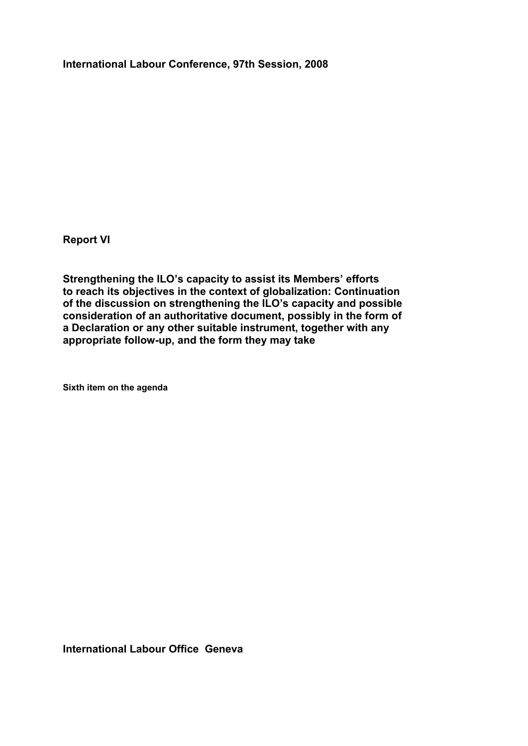**International Labour Conference, 97th Session, 2008** 

**Report VI** 

**Strengthening the ILO's capacity to assist its Members' efforts to reach its objectives in the context of globalization: Continuation of the discussion on strengthening the ILO's capacity and possible consideration of an authoritative document, possibly in the form of a Declaration or any other suitable instrument, together with any appropriate follow-up, and the form they may take**

**Sixth item on the agenda**

**International Labour Office Geneva**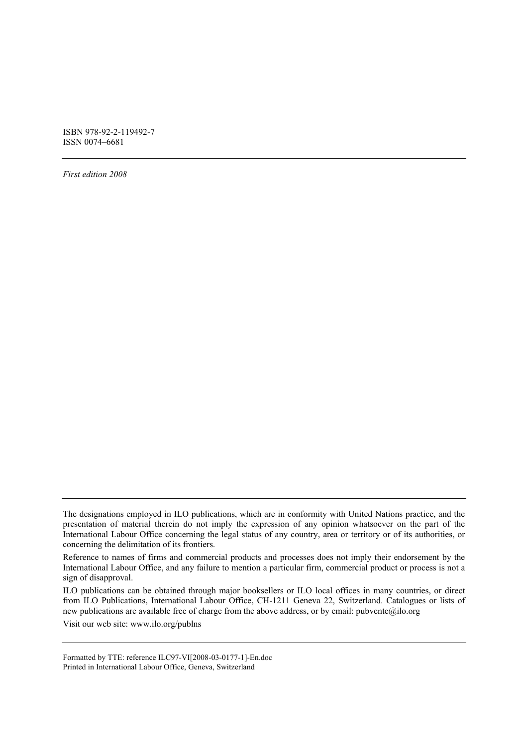ISBN 978-92-2-119492-7 ISSN 0074–6681

*First edition 2008* 

ILO publications can be obtained through major booksellers or ILO local offices in many countries, or direct from ILO Publications, International Labour Office, CH-1211 Geneva 22, Switzerland. Catalogues or lists of new publications are available free of charge from the above address, or by email: pubvente@ilo.org

Visit our web site: www.ilo.org/publns

Formatted by TTE: reference ILC97-VI[2008-03-0177-1]-En.doc Printed in International Labour Office, Geneva, Switzerland

The designations employed in ILO publications, which are in conformity with United Nations practice, and the presentation of material therein do not imply the expression of any opinion whatsoever on the part of the International Labour Office concerning the legal status of any country, area or territory or of its authorities, or concerning the delimitation of its frontiers.

Reference to names of firms and commercial products and processes does not imply their endorsement by the International Labour Office, and any failure to mention a particular firm, commercial product or process is not a sign of disapproval.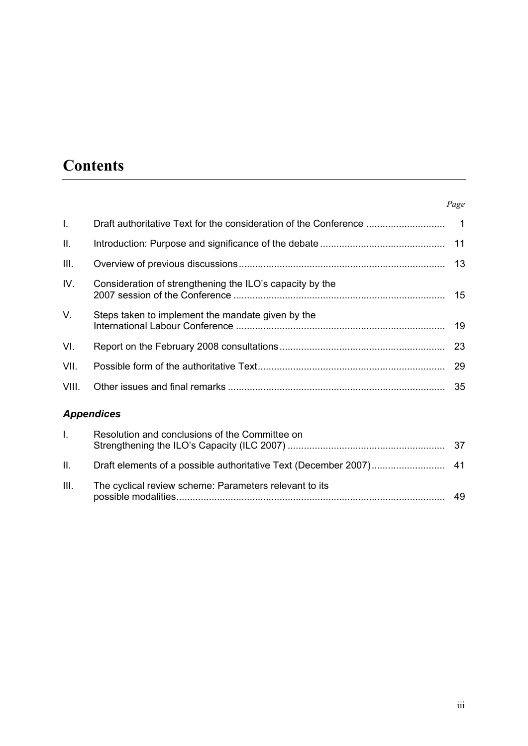# **Contents**

#### *Page*

| $\mathbf{L}$ |                                                          |    |
|--------------|----------------------------------------------------------|----|
| Ш.           |                                                          | 11 |
| III.         |                                                          | 13 |
| IV.          | Consideration of strengthening the ILO's capacity by the |    |
| V.           | Steps taken to implement the mandate given by the        | 19 |
| VI.          |                                                          | 23 |
| VII.         |                                                          | 29 |
| VIII.        |                                                          | 35 |
|              | <b>Appendices</b>                                        |    |
| I.           | Resolution and conclusions of the Committee on           |    |
| Ш.           |                                                          |    |

| III. | The cyclical review scheme: Parameters relevant to its |  |
|------|--------------------------------------------------------|--|
|      |                                                        |  |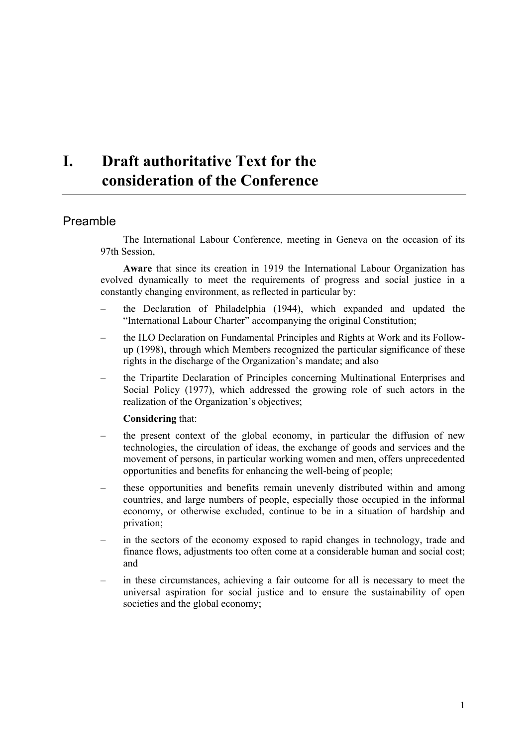# **I. Draft authoritative Text for the consideration of the Conference**

## Preamble

The International Labour Conference, meeting in Geneva on the occasion of its 97th Session,

**Aware** that since its creation in 1919 the International Labour Organization has evolved dynamically to meet the requirements of progress and social justice in a constantly changing environment, as reflected in particular by:

- the Declaration of Philadelphia (1944), which expanded and updated the "International Labour Charter" accompanying the original Constitution;
- the ILO Declaration on Fundamental Principles and Rights at Work and its Followup (1998), through which Members recognized the particular significance of these rights in the discharge of the Organization's mandate; and also
- the Tripartite Declaration of Principles concerning Multinational Enterprises and Social Policy (1977), which addressed the growing role of such actors in the realization of the Organization's objectives;

#### **Considering** that:

- the present context of the global economy, in particular the diffusion of new technologies, the circulation of ideas, the exchange of goods and services and the movement of persons, in particular working women and men, offers unprecedented opportunities and benefits for enhancing the well-being of people;
- these opportunities and benefits remain unevenly distributed within and among countries, and large numbers of people, especially those occupied in the informal economy, or otherwise excluded, continue to be in a situation of hardship and privation;
- in the sectors of the economy exposed to rapid changes in technology, trade and finance flows, adjustments too often come at a considerable human and social cost; and
- in these circumstances, achieving a fair outcome for all is necessary to meet the universal aspiration for social justice and to ensure the sustainability of open societies and the global economy;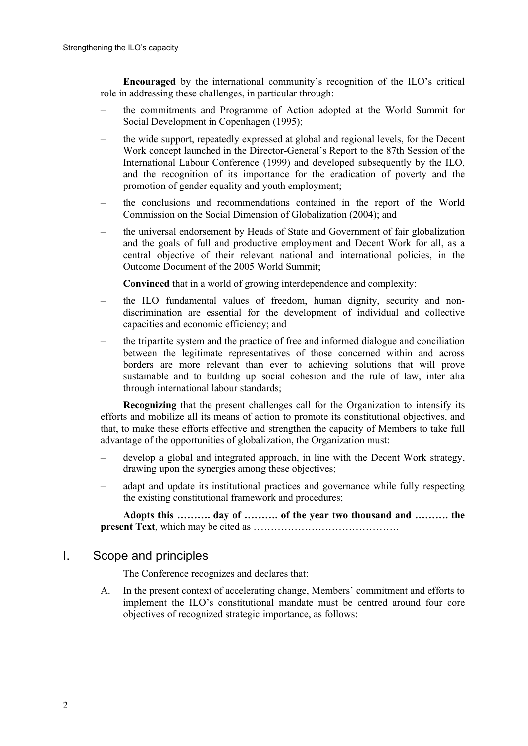**Encouraged** by the international community's recognition of the ILO's critical role in addressing these challenges, in particular through:

- the commitments and Programme of Action adopted at the World Summit for Social Development in Copenhagen (1995);
- the wide support, repeatedly expressed at global and regional levels, for the Decent Work concept launched in the Director-General's Report to the 87th Session of the International Labour Conference (1999) and developed subsequently by the ILO, and the recognition of its importance for the eradication of poverty and the promotion of gender equality and youth employment;
- the conclusions and recommendations contained in the report of the World Commission on the Social Dimension of Globalization (2004); and
- the universal endorsement by Heads of State and Government of fair globalization and the goals of full and productive employment and Decent Work for all, as a central objective of their relevant national and international policies, in the Outcome Document of the 2005 World Summit;

**Convinced** that in a world of growing interdependence and complexity:

- the ILO fundamental values of freedom, human dignity, security and nondiscrimination are essential for the development of individual and collective capacities and economic efficiency; and
- the tripartite system and the practice of free and informed dialogue and conciliation between the legitimate representatives of those concerned within and across borders are more relevant than ever to achieving solutions that will prove sustainable and to building up social cohesion and the rule of law, inter alia through international labour standards;

**Recognizing** that the present challenges call for the Organization to intensify its efforts and mobilize all its means of action to promote its constitutional objectives, and that, to make these efforts effective and strengthen the capacity of Members to take full advantage of the opportunities of globalization, the Organization must:

- develop a global and integrated approach, in line with the Decent Work strategy, drawing upon the synergies among these objectives;
- adapt and update its institutional practices and governance while fully respecting the existing constitutional framework and procedures;

**Adopts this ………. day of ………. of the year two thousand and ………. the present Text**, which may be cited as …………………………………….

## I. Scope and principles

The Conference recognizes and declares that:

A. In the present context of accelerating change, Members' commitment and efforts to implement the ILO's constitutional mandate must be centred around four core objectives of recognized strategic importance, as follows: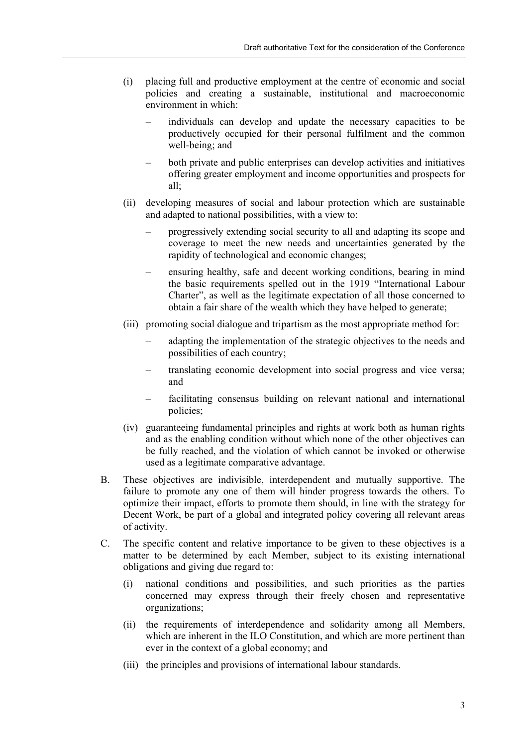- (i) placing full and productive employment at the centre of economic and social policies and creating a sustainable, institutional and macroeconomic environment in which:
	- individuals can develop and update the necessary capacities to be productively occupied for their personal fulfilment and the common well-being; and
	- both private and public enterprises can develop activities and initiatives offering greater employment and income opportunities and prospects for all;
- (ii) developing measures of social and labour protection which are sustainable and adapted to national possibilities, with a view to:
	- progressively extending social security to all and adapting its scope and coverage to meet the new needs and uncertainties generated by the rapidity of technological and economic changes;
	- ensuring healthy, safe and decent working conditions, bearing in mind the basic requirements spelled out in the 1919 "International Labour Charter", as well as the legitimate expectation of all those concerned to obtain a fair share of the wealth which they have helped to generate;
- (iii) promoting social dialogue and tripartism as the most appropriate method for:
	- adapting the implementation of the strategic objectives to the needs and possibilities of each country;
	- translating economic development into social progress and vice versa; and
	- facilitating consensus building on relevant national and international policies;
- (iv) guaranteeing fundamental principles and rights at work both as human rights and as the enabling condition without which none of the other objectives can be fully reached, and the violation of which cannot be invoked or otherwise used as a legitimate comparative advantage.
- B. These objectives are indivisible, interdependent and mutually supportive. The failure to promote any one of them will hinder progress towards the others. To optimize their impact, efforts to promote them should, in line with the strategy for Decent Work, be part of a global and integrated policy covering all relevant areas of activity.
- C. The specific content and relative importance to be given to these objectives is a matter to be determined by each Member, subject to its existing international obligations and giving due regard to:
	- (i) national conditions and possibilities, and such priorities as the parties concerned may express through their freely chosen and representative organizations;
	- (ii) the requirements of interdependence and solidarity among all Members, which are inherent in the ILO Constitution, and which are more pertinent than ever in the context of a global economy; and
	- (iii) the principles and provisions of international labour standards.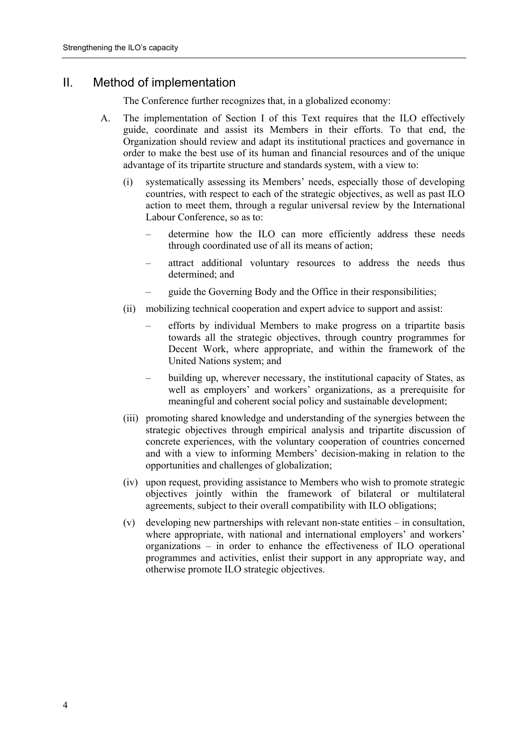## II. Method of implementation

The Conference further recognizes that, in a globalized economy:

- A. The implementation of Section I of this Text requires that the ILO effectively guide, coordinate and assist its Members in their efforts. To that end, the Organization should review and adapt its institutional practices and governance in order to make the best use of its human and financial resources and of the unique advantage of its tripartite structure and standards system, with a view to:
	- (i) systematically assessing its Members' needs, especially those of developing countries, with respect to each of the strategic objectives, as well as past ILO action to meet them, through a regular universal review by the International Labour Conference, so as to:
		- determine how the ILO can more efficiently address these needs through coordinated use of all its means of action;
		- attract additional voluntary resources to address the needs thus determined; and
		- guide the Governing Body and the Office in their responsibilities;
	- (ii) mobilizing technical cooperation and expert advice to support and assist:
		- efforts by individual Members to make progress on a tripartite basis towards all the strategic objectives, through country programmes for Decent Work, where appropriate, and within the framework of the United Nations system; and
		- building up, wherever necessary, the institutional capacity of States, as well as employers' and workers' organizations, as a prerequisite for meaningful and coherent social policy and sustainable development;
	- (iii) promoting shared knowledge and understanding of the synergies between the strategic objectives through empirical analysis and tripartite discussion of concrete experiences, with the voluntary cooperation of countries concerned and with a view to informing Members' decision-making in relation to the opportunities and challenges of globalization;
	- (iv) upon request, providing assistance to Members who wish to promote strategic objectives jointly within the framework of bilateral or multilateral agreements, subject to their overall compatibility with ILO obligations;
	- (v) developing new partnerships with relevant non-state entities in consultation, where appropriate, with national and international employers' and workers' organizations – in order to enhance the effectiveness of ILO operational programmes and activities, enlist their support in any appropriate way, and otherwise promote ILO strategic objectives.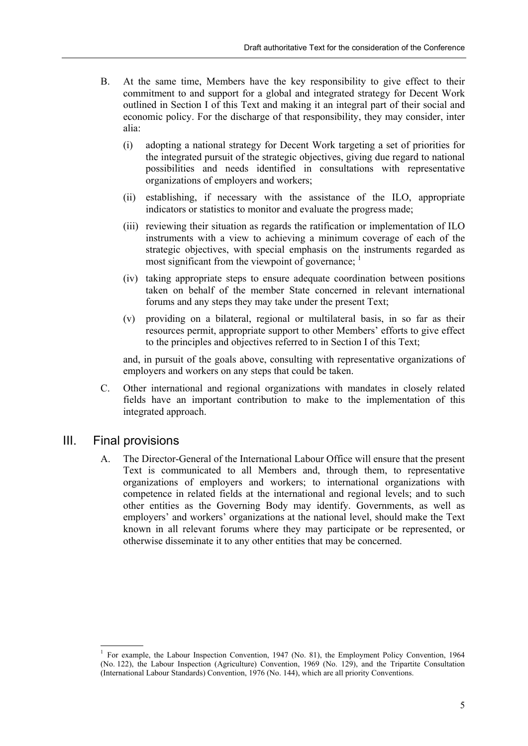- B. At the same time, Members have the key responsibility to give effect to their commitment to and support for a global and integrated strategy for Decent Work outlined in Section I of this Text and making it an integral part of their social and economic policy. For the discharge of that responsibility, they may consider, inter alia:
	- (i) adopting a national strategy for Decent Work targeting a set of priorities for the integrated pursuit of the strategic objectives, giving due regard to national possibilities and needs identified in consultations with representative organizations of employers and workers;
	- (ii) establishing, if necessary with the assistance of the ILO, appropriate indicators or statistics to monitor and evaluate the progress made;
	- (iii) reviewing their situation as regards the ratification or implementation of ILO instruments with a view to achieving a minimum coverage of each of the strategic objectives, with special emphasis on the instruments regarded as most significant from the viewpoint of governance;  $<sup>1</sup>$ </sup>
	- (iv) taking appropriate steps to ensure adequate coordination between positions taken on behalf of the member State concerned in relevant international forums and any steps they may take under the present Text;
	- (v) providing on a bilateral, regional or multilateral basis, in so far as their resources permit, appropriate support to other Members' efforts to give effect to the principles and objectives referred to in Section I of this Text;

 and, in pursuit of the goals above, consulting with representative organizations of employers and workers on any steps that could be taken.

C. Other international and regional organizations with mandates in closely related fields have an important contribution to make to the implementation of this integrated approach.

## III. Final provisions

l

A. The Director-General of the International Labour Office will ensure that the present Text is communicated to all Members and, through them, to representative organizations of employers and workers; to international organizations with competence in related fields at the international and regional levels; and to such other entities as the Governing Body may identify. Governments, as well as employers' and workers' organizations at the national level, should make the Text known in all relevant forums where they may participate or be represented, or otherwise disseminate it to any other entities that may be concerned.

<sup>1</sup> For example, the Labour Inspection Convention, 1947 (No. 81), the Employment Policy Convention, 1964 (No. 122), the Labour Inspection (Agriculture) Convention, 1969 (No. 129), and the Tripartite Consultation (International Labour Standards) Convention, 1976 (No. 144), which are all priority Conventions.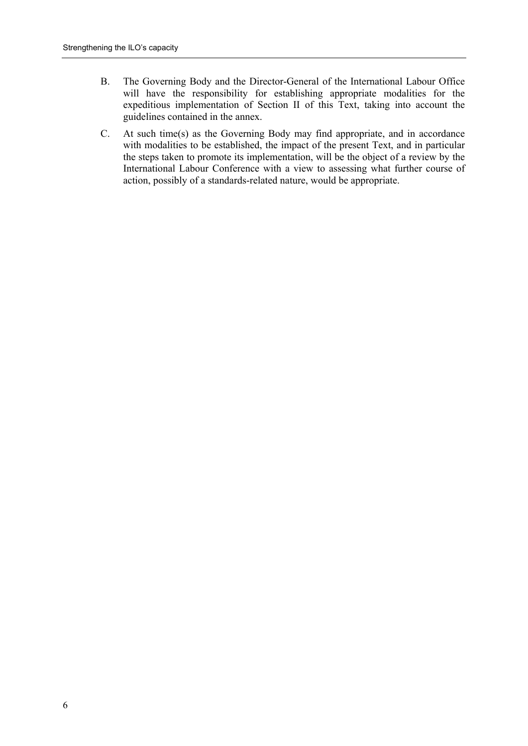- B. The Governing Body and the Director-General of the International Labour Office will have the responsibility for establishing appropriate modalities for the expeditious implementation of Section II of this Text, taking into account the guidelines contained in the annex.
- C. At such time(s) as the Governing Body may find appropriate, and in accordance with modalities to be established, the impact of the present Text, and in particular the steps taken to promote its implementation, will be the object of a review by the International Labour Conference with a view to assessing what further course of action, possibly of a standards-related nature, would be appropriate.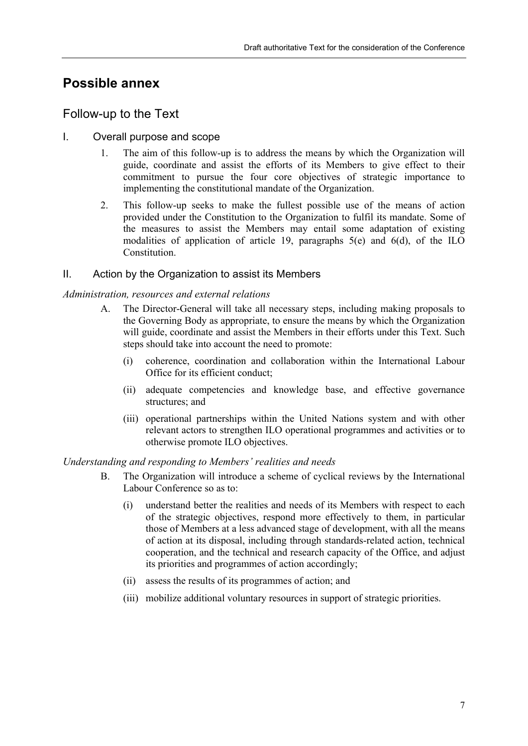## **Possible annex**

## Follow-up to the Text

## I. Overall purpose and scope

- 1. The aim of this follow-up is to address the means by which the Organization will guide, coordinate and assist the efforts of its Members to give effect to their commitment to pursue the four core objectives of strategic importance to implementing the constitutional mandate of the Organization.
- 2. This follow-up seeks to make the fullest possible use of the means of action provided under the Constitution to the Organization to fulfil its mandate. Some of the measures to assist the Members may entail some adaptation of existing modalities of application of article 19, paragraphs  $5(e)$  and  $6(d)$ , of the ILO Constitution.

## II. Action by the Organization to assist its Members

## *Administration, resources and external relations*

- A. The Director-General will take all necessary steps, including making proposals to the Governing Body as appropriate, to ensure the means by which the Organization will guide, coordinate and assist the Members in their efforts under this Text. Such steps should take into account the need to promote:
	- (i) coherence, coordination and collaboration within the International Labour Office for its efficient conduct;
	- (ii) adequate competencies and knowledge base, and effective governance structures; and
	- (iii) operational partnerships within the United Nations system and with other relevant actors to strengthen ILO operational programmes and activities or to otherwise promote ILO objectives.

## *Understanding and responding to Members' realities and needs*

- B. The Organization will introduce a scheme of cyclical reviews by the International Labour Conference so as to:
	- (i) understand better the realities and needs of its Members with respect to each of the strategic objectives, respond more effectively to them, in particular those of Members at a less advanced stage of development, with all the means of action at its disposal, including through standards-related action, technical cooperation, and the technical and research capacity of the Office, and adjust its priorities and programmes of action accordingly;
	- (ii) assess the results of its programmes of action; and
	- (iii) mobilize additional voluntary resources in support of strategic priorities.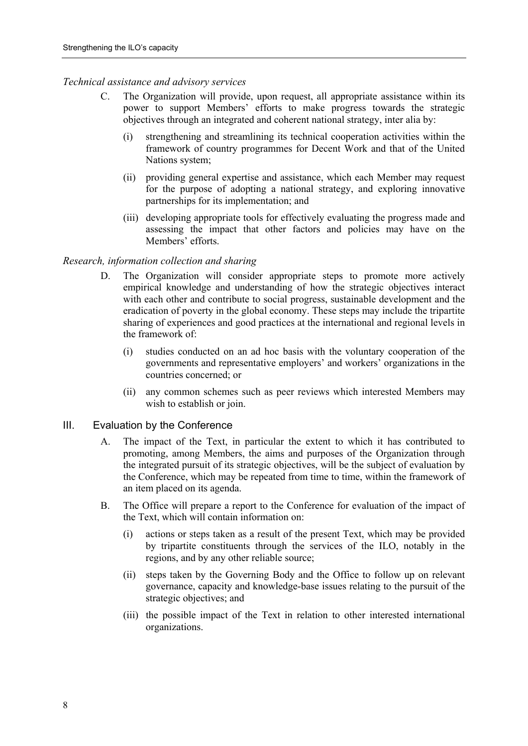#### *Technical assistance and advisory services*

- C. The Organization will provide, upon request, all appropriate assistance within its power to support Members' efforts to make progress towards the strategic objectives through an integrated and coherent national strategy, inter alia by:
	- (i) strengthening and streamlining its technical cooperation activities within the framework of country programmes for Decent Work and that of the United Nations system;
	- (ii) providing general expertise and assistance, which each Member may request for the purpose of adopting a national strategy, and exploring innovative partnerships for its implementation; and
	- (iii) developing appropriate tools for effectively evaluating the progress made and assessing the impact that other factors and policies may have on the Members' efforts.

#### *Research, information collection and sharing*

- D. The Organization will consider appropriate steps to promote more actively empirical knowledge and understanding of how the strategic objectives interact with each other and contribute to social progress, sustainable development and the eradication of poverty in the global economy. These steps may include the tripartite sharing of experiences and good practices at the international and regional levels in the framework of:
	- (i) studies conducted on an ad hoc basis with the voluntary cooperation of the governments and representative employers' and workers' organizations in the countries concerned; or
	- (ii) any common schemes such as peer reviews which interested Members may wish to establish or join.

#### III. Evaluation by the Conference

- A. The impact of the Text, in particular the extent to which it has contributed to promoting, among Members, the aims and purposes of the Organization through the integrated pursuit of its strategic objectives, will be the subject of evaluation by the Conference, which may be repeated from time to time, within the framework of an item placed on its agenda.
- B. The Office will prepare a report to the Conference for evaluation of the impact of the Text, which will contain information on:
	- (i) actions or steps taken as a result of the present Text, which may be provided by tripartite constituents through the services of the ILO, notably in the regions, and by any other reliable source;
	- (ii) steps taken by the Governing Body and the Office to follow up on relevant governance, capacity and knowledge-base issues relating to the pursuit of the strategic objectives; and
	- (iii) the possible impact of the Text in relation to other interested international organizations.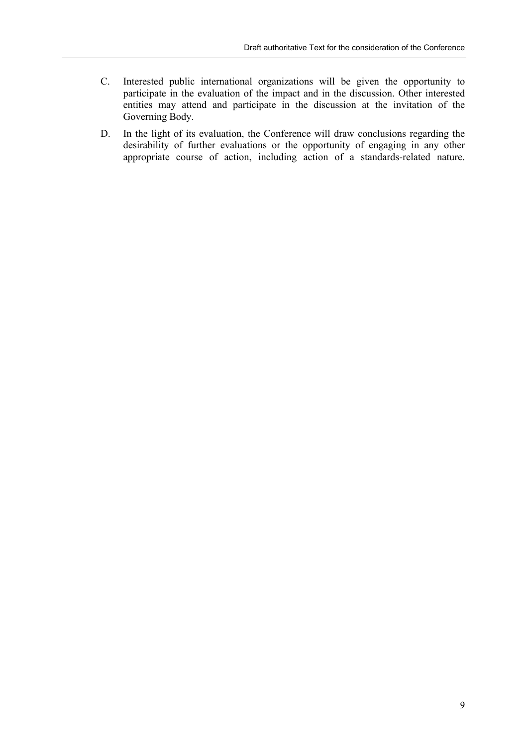- C. Interested public international organizations will be given the opportunity to participate in the evaluation of the impact and in the discussion. Other interested entities may attend and participate in the discussion at the invitation of the Governing Body.
- D. In the light of its evaluation, the Conference will draw conclusions regarding the desirability of further evaluations or the opportunity of engaging in any other appropriate course of action, including action of a standards-related nature.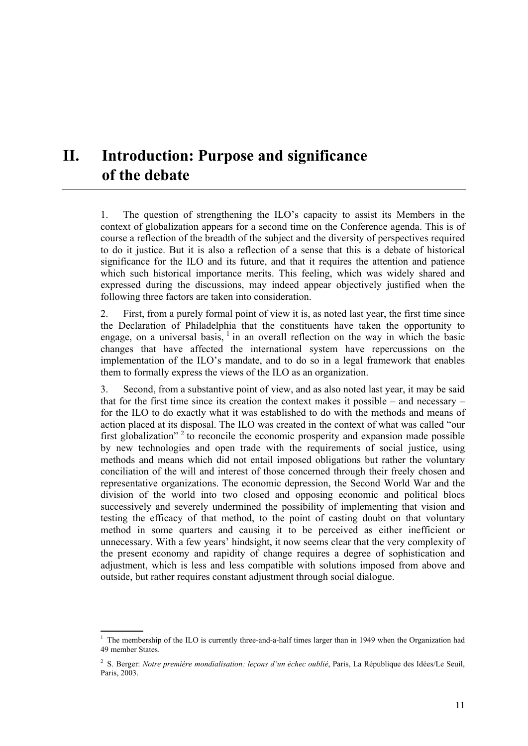# **II. Introduction: Purpose and significance of the debate**

1. The question of strengthening the ILO's capacity to assist its Members in the context of globalization appears for a second time on the Conference agenda. This is of course a reflection of the breadth of the subject and the diversity of perspectives required to do it justice. But it is also a reflection of a sense that this is a debate of historical significance for the ILO and its future, and that it requires the attention and patience which such historical importance merits. This feeling, which was widely shared and expressed during the discussions, may indeed appear objectively justified when the following three factors are taken into consideration.

2. First, from a purely formal point of view it is, as noted last year, the first time since the Declaration of Philadelphia that the constituents have taken the opportunity to engage, on a universal basis,  $\frac{1}{1}$  in an overall reflection on the way in which the basic changes that have affected the international system have repercussions on the implementation of the ILO's mandate, and to do so in a legal framework that enables them to formally express the views of the ILO as an organization.

3. Second, from a substantive point of view, and as also noted last year, it may be said that for the first time since its creation the context makes it possible – and necessary – for the ILO to do exactly what it was established to do with the methods and means of action placed at its disposal. The ILO was created in the context of what was called "our first globalization"<sup>2</sup> to reconcile the economic prosperity and expansion made possible by new technologies and open trade with the requirements of social justice, using methods and means which did not entail imposed obligations but rather the voluntary conciliation of the will and interest of those concerned through their freely chosen and representative organizations. The economic depression, the Second World War and the division of the world into two closed and opposing economic and political blocs successively and severely undermined the possibility of implementing that vision and testing the efficacy of that method, to the point of casting doubt on that voluntary method in some quarters and causing it to be perceived as either inefficient or unnecessary. With a few years' hindsight, it now seems clear that the very complexity of the present economy and rapidity of change requires a degree of sophistication and adjustment, which is less and less compatible with solutions imposed from above and outside, but rather requires constant adjustment through social dialogue.

<sup>&</sup>lt;sup>1</sup> The membership of the ILO is currently three-and-a-half times larger than in 1949 when the Organization had 49 member States.

<sup>2</sup> S. Berger: *Notre première mondialisation: leçons d'un échec oublié*, Paris, La République des Idées/Le Seuil, Paris, 2003.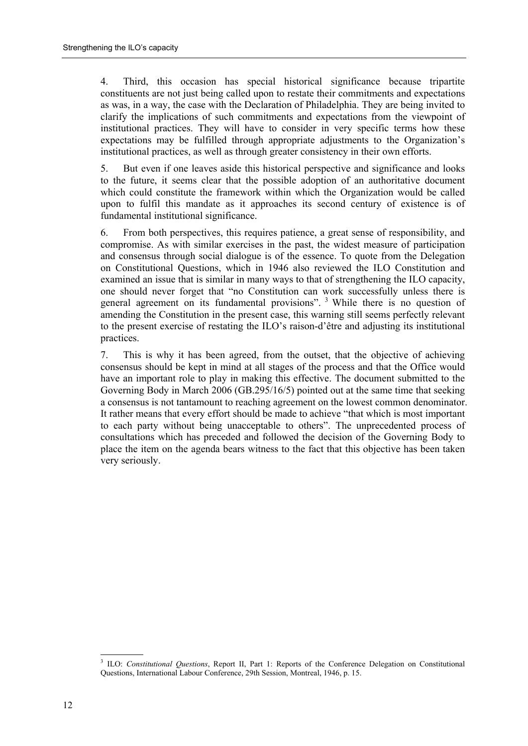4. Third, this occasion has special historical significance because tripartite constituents are not just being called upon to restate their commitments and expectations as was, in a way, the case with the Declaration of Philadelphia. They are being invited to clarify the implications of such commitments and expectations from the viewpoint of institutional practices. They will have to consider in very specific terms how these expectations may be fulfilled through appropriate adjustments to the Organization's institutional practices, as well as through greater consistency in their own efforts.

5. But even if one leaves aside this historical perspective and significance and looks to the future, it seems clear that the possible adoption of an authoritative document which could constitute the framework within which the Organization would be called upon to fulfil this mandate as it approaches its second century of existence is of fundamental institutional significance.

6. From both perspectives, this requires patience, a great sense of responsibility, and compromise. As with similar exercises in the past, the widest measure of participation and consensus through social dialogue is of the essence. To quote from the Delegation on Constitutional Questions, which in 1946 also reviewed the ILO Constitution and examined an issue that is similar in many ways to that of strengthening the ILO capacity, one should never forget that "no Constitution can work successfully unless there is general agreement on its fundamental provisions". 3 While there is no question of amending the Constitution in the present case, this warning still seems perfectly relevant to the present exercise of restating the ILO's raison-d'être and adjusting its institutional practices.

7. This is why it has been agreed, from the outset, that the objective of achieving consensus should be kept in mind at all stages of the process and that the Office would have an important role to play in making this effective. The document submitted to the Governing Body in March 2006 (GB.295/16/5) pointed out at the same time that seeking a consensus is not tantamount to reaching agreement on the lowest common denominator. It rather means that every effort should be made to achieve "that which is most important to each party without being unacceptable to others". The unprecedented process of consultations which has preceded and followed the decision of the Governing Body to place the item on the agenda bears witness to the fact that this objective has been taken very seriously.

<sup>3</sup> ILO: *Constitutional Questions*, Report II, Part 1: Reports of the Conference Delegation on Constitutional Questions, International Labour Conference, 29th Session, Montreal, 1946, p. 15.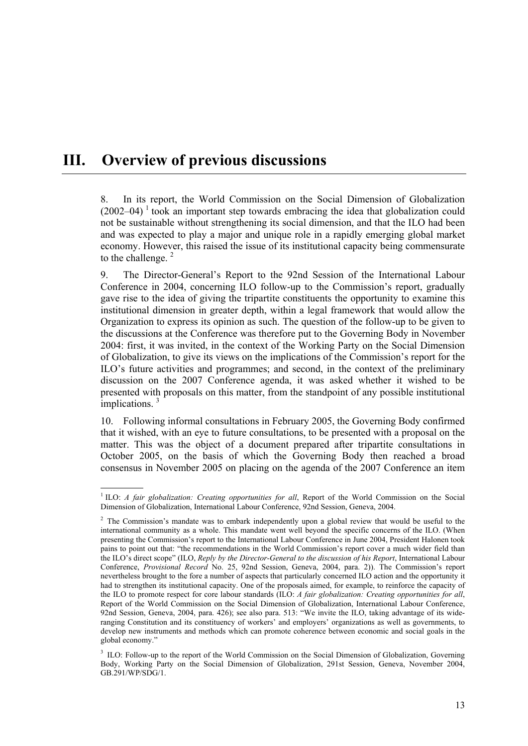# **III. Overview of previous discussions**

8. In its report, the World Commission on the Social Dimension of Globalization  $(2002-04)$ <sup>1</sup> took an important step towards embracing the idea that globalization could not be sustainable without strengthening its social dimension, and that the ILO had been and was expected to play a major and unique role in a rapidly emerging global market economy. However, this raised the issue of its institutional capacity being commensurate to the challenge.<sup>2</sup>

9. The Director-General's Report to the 92nd Session of the International Labour Conference in 2004, concerning ILO follow-up to the Commission's report, gradually gave rise to the idea of giving the tripartite constituents the opportunity to examine this institutional dimension in greater depth, within a legal framework that would allow the Organization to express its opinion as such. The question of the follow-up to be given to the discussions at the Conference was therefore put to the Governing Body in November 2004: first, it was invited, in the context of the Working Party on the Social Dimension of Globalization, to give its views on the implications of the Commission's report for the ILO's future activities and programmes; and second, in the context of the preliminary discussion on the 2007 Conference agenda, it was asked whether it wished to be presented with proposals on this matter, from the standpoint of any possible institutional implications.<sup>3</sup>

10. Following informal consultations in February 2005, the Governing Body confirmed that it wished, with an eye to future consultations, to be presented with a proposal on the matter. This was the object of a document prepared after tripartite consultations in October 2005, on the basis of which the Governing Body then reached a broad consensus in November 2005 on placing on the agenda of the 2007 Conference an item

<sup>&</sup>lt;sup>1</sup> ILO: *A fair globalization: Creating opportunities for all*, Report of the World Commission on the Social Dimension of Globalization, International Labour Conference, 92nd Session, Geneva, 2004.

<sup>&</sup>lt;sup>2</sup> The Commission's mandate was to embark independently upon a global review that would be useful to the international community as a whole. This mandate went well beyond the specific concerns of the ILO. (When presenting the Commission's report to the International Labour Conference in June 2004, President Halonen took pains to point out that: "the recommendations in the World Commission's report cover a much wider field than the ILO's direct scope" (ILO, *Reply by the Director-General to the discussion of his Report*, International Labour Conference, *Provisional Record* No. 25, 92nd Session, Geneva, 2004, para. 2)). The Commission's report nevertheless brought to the fore a number of aspects that particularly concerned ILO action and the opportunity it had to strengthen its institutional capacity. One of the proposals aimed, for example, to reinforce the capacity of the ILO to promote respect for core labour standards (ILO: *A fair globalization: Creating opportunities for all*, Report of the World Commission on the Social Dimension of Globalization, International Labour Conference, 92nd Session, Geneva, 2004, para. 426); see also para. 513: "We invite the ILO, taking advantage of its wideranging Constitution and its constituency of workers' and employers' organizations as well as governments, to develop new instruments and methods which can promote coherence between economic and social goals in the global economy."

<sup>&</sup>lt;sup>3</sup> ILO: Follow-up to the report of the World Commission on the Social Dimension of Globalization, Governing Body, Working Party on the Social Dimension of Globalization, 291st Session, Geneva, November 2004, GB.291/WP/SDG/1.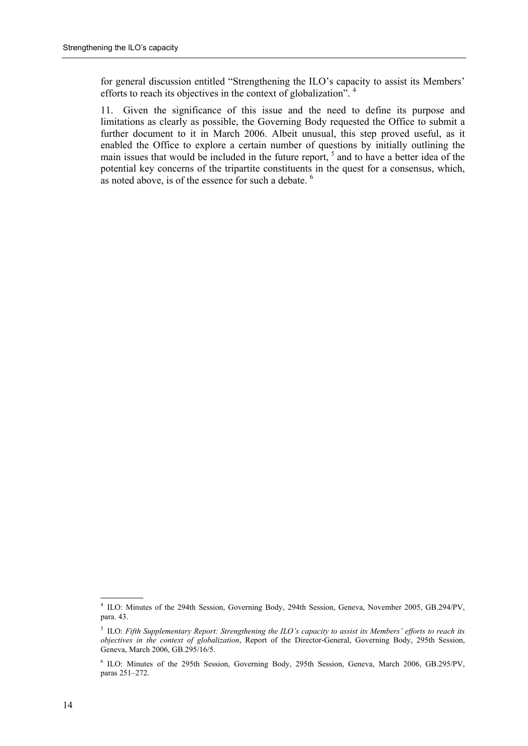for general discussion entitled "Strengthening the ILO's capacity to assist its Members' efforts to reach its objectives in the context of globalization".<sup>4</sup>

11. Given the significance of this issue and the need to define its purpose and limitations as clearly as possible, the Governing Body requested the Office to submit a further document to it in March 2006. Albeit unusual, this step proved useful, as it enabled the Office to explore a certain number of questions by initially outlining the main issues that would be included in the future report, <sup>5</sup> and to have a better idea of the potential key concerns of the tripartite constituents in the quest for a consensus, which, as noted above, is of the essence for such a debate. 6

 4 ILO: Minutes of the 294th Session, Governing Body, 294th Session, Geneva, November 2005, GB.294/PV, para. 43.

<sup>5</sup> ILO: *Fifth Supplementary Report: Strengthening the ILO's capacity to assist its Members' efforts to reach its objectives in the context of globalization*, Report of the Director-General, Governing Body, 295th Session, Geneva, March 2006, GB.295/16/5.

<sup>6</sup> ILO: Minutes of the 295th Session, Governing Body, 295th Session, Geneva, March 2006, GB.295/PV, paras 251–272.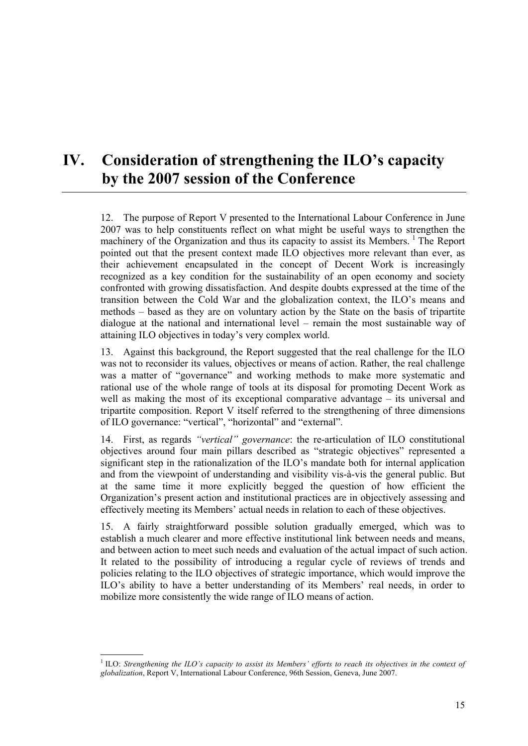# **IV. Consideration of strengthening the ILO's capacity by the 2007 session of the Conference**

12. The purpose of Report V presented to the International Labour Conference in June 2007 was to help constituents reflect on what might be useful ways to strengthen the machinery of the Organization and thus its capacity to assist its Members.<sup>1</sup> The Report pointed out that the present context made ILO objectives more relevant than ever, as their achievement encapsulated in the concept of Decent Work is increasingly recognized as a key condition for the sustainability of an open economy and society confronted with growing dissatisfaction. And despite doubts expressed at the time of the transition between the Cold War and the globalization context, the ILO's means and methods – based as they are on voluntary action by the State on the basis of tripartite dialogue at the national and international level – remain the most sustainable way of attaining ILO objectives in today's very complex world.

13. Against this background, the Report suggested that the real challenge for the ILO was not to reconsider its values, objectives or means of action. Rather, the real challenge was a matter of "governance" and working methods to make more systematic and rational use of the whole range of tools at its disposal for promoting Decent Work as well as making the most of its exceptional comparative advantage – its universal and tripartite composition. Report V itself referred to the strengthening of three dimensions of ILO governance: "vertical", "horizontal" and "external".

14. First, as regards *"vertical" governance*: the re-articulation of ILO constitutional objectives around four main pillars described as "strategic objectives" represented a significant step in the rationalization of the ILO's mandate both for internal application and from the viewpoint of understanding and visibility vis-à-vis the general public. But at the same time it more explicitly begged the question of how efficient the Organization's present action and institutional practices are in objectively assessing and effectively meeting its Members' actual needs in relation to each of these objectives.

15. A fairly straightforward possible solution gradually emerged, which was to establish a much clearer and more effective institutional link between needs and means, and between action to meet such needs and evaluation of the actual impact of such action. It related to the possibility of introducing a regular cycle of reviews of trends and policies relating to the ILO objectives of strategic importance, which would improve the ILO's ability to have a better understanding of its Members' real needs, in order to mobilize more consistently the wide range of ILO means of action.

<sup>&</sup>lt;sup>1</sup> ILO: *Strengthening the ILO's capacity to assist its Members' efforts to reach its objectives in the context of globalization*, Report V, International Labour Conference, 96th Session, Geneva, June 2007.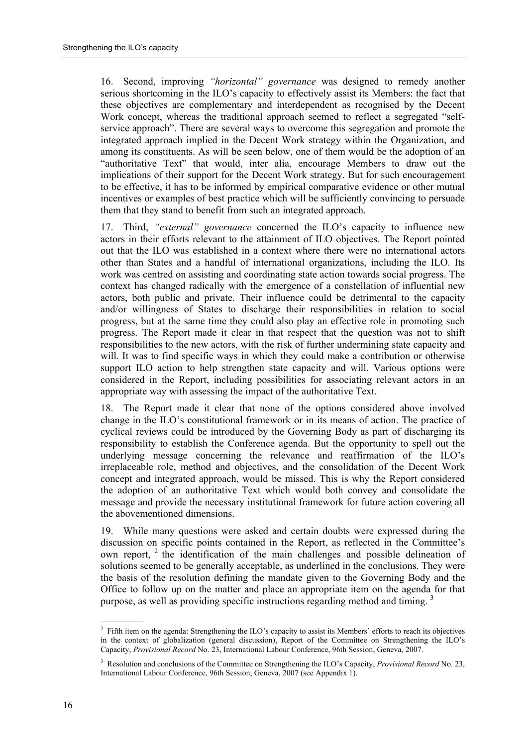16. Second, improving *"horizontal" governance* was designed to remedy another serious shortcoming in the ILO's capacity to effectively assist its Members: the fact that these objectives are complementary and interdependent as recognised by the Decent Work concept, whereas the traditional approach seemed to reflect a segregated "selfservice approach". There are several ways to overcome this segregation and promote the integrated approach implied in the Decent Work strategy within the Organization, and among its constituents. As will be seen below, one of them would be the adoption of an "authoritative Text" that would, inter alia, encourage Members to draw out the implications of their support for the Decent Work strategy. But for such encouragement to be effective, it has to be informed by empirical comparative evidence or other mutual incentives or examples of best practice which will be sufficiently convincing to persuade them that they stand to benefit from such an integrated approach.

17. Third, *"external" governance* concerned the ILO's capacity to influence new actors in their efforts relevant to the attainment of ILO objectives. The Report pointed out that the ILO was established in a context where there were no international actors other than States and a handful of international organizations, including the ILO. Its work was centred on assisting and coordinating state action towards social progress. The context has changed radically with the emergence of a constellation of influential new actors, both public and private. Their influence could be detrimental to the capacity and/or willingness of States to discharge their responsibilities in relation to social progress, but at the same time they could also play an effective role in promoting such progress. The Report made it clear in that respect that the question was not to shift responsibilities to the new actors, with the risk of further undermining state capacity and will. It was to find specific ways in which they could make a contribution or otherwise support ILO action to help strengthen state capacity and will. Various options were considered in the Report, including possibilities for associating relevant actors in an appropriate way with assessing the impact of the authoritative Text.

18. The Report made it clear that none of the options considered above involved change in the ILO's constitutional framework or in its means of action. The practice of cyclical reviews could be introduced by the Governing Body as part of discharging its responsibility to establish the Conference agenda. But the opportunity to spell out the underlying message concerning the relevance and reaffirmation of the ILO's irreplaceable role, method and objectives, and the consolidation of the Decent Work concept and integrated approach, would be missed. This is why the Report considered the adoption of an authoritative Text which would both convey and consolidate the message and provide the necessary institutional framework for future action covering all the abovementioned dimensions.

19. While many questions were asked and certain doubts were expressed during the discussion on specific points contained in the Report, as reflected in the Committee's own report,  $\frac{2}{3}$  the identification of the main challenges and possible delineation of solutions seemed to be generally acceptable, as underlined in the conclusions. They were the basis of the resolution defining the mandate given to the Governing Body and the Office to follow up on the matter and place an appropriate item on the agenda for that purpose, as well as providing specific instructions regarding method and timing. 3

<sup>&</sup>lt;sup>2</sup> Fifth item on the agenda: Strengthening the ILO's capacity to assist its Members' efforts to reach its objectives in the context of globalization (general discussion), Report of the Committee on Strengthening the ILO's Capacity, *Provisional Record* No. 23, International Labour Conference, 96th Session, Geneva, 2007.

<sup>3</sup> Resolution and conclusions of the Committee on Strengthening the ILO's Capacity, *Provisional Record* No. 23, International Labour Conference, 96th Session, Geneva, 2007 (see Appendix 1).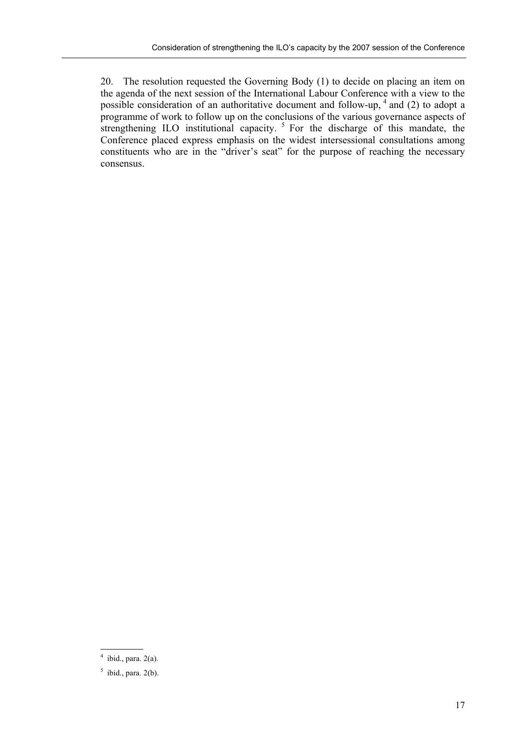20. The resolution requested the Governing Body (1) to decide on placing an item on the agenda of the next session of the International Labour Conference with a view to the possible consideration of an authoritative document and follow-up,  $4$  and (2) to adopt a programme of work to follow up on the conclusions of the various governance aspects of strengthening ILO institutional capacity. <sup>5</sup> For the discharge of this mandate, the Conference placed express emphasis on the widest intersessional consultations among constituents who are in the "driver's seat" for the purpose of reaching the necessary consensus.

 $4$  ibid., para. 2(a).

 $<sup>5</sup>$  ibid., para. 2(b).</sup>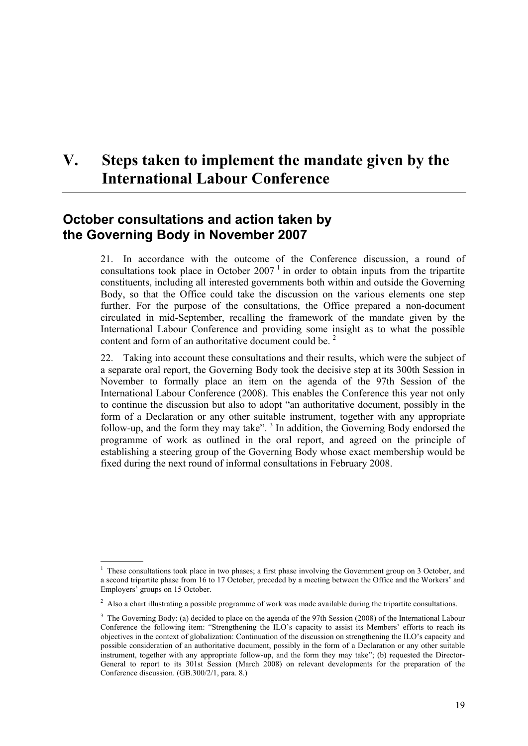# **V. Steps taken to implement the mandate given by the International Labour Conference**

## **October consultations and action taken by the Governing Body in November 2007**

21. In accordance with the outcome of the Conference discussion, a round of consultations took place in October  $2007<sup>1</sup>$  in order to obtain inputs from the tripartite constituents, including all interested governments both within and outside the Governing Body, so that the Office could take the discussion on the various elements one step further. For the purpose of the consultations, the Office prepared a non-document circulated in mid-September, recalling the framework of the mandate given by the International Labour Conference and providing some insight as to what the possible content and form of an authoritative document could be. 2

22. Taking into account these consultations and their results, which were the subject of a separate oral report, the Governing Body took the decisive step at its 300th Session in November to formally place an item on the agenda of the 97th Session of the International Labour Conference (2008). This enables the Conference this year not only to continue the discussion but also to adopt "an authoritative document, possibly in the form of a Declaration or any other suitable instrument, together with any appropriate follow-up, and the form they may take".<sup>3</sup> In addition, the Governing Body endorsed the programme of work as outlined in the oral report, and agreed on the principle of establishing a steering group of the Governing Body whose exact membership would be fixed during the next round of informal consultations in February 2008.

<sup>&</sup>lt;sup>1</sup> These consultations took place in two phases; a first phase involving the Government group on 3 October, and a second tripartite phase from 16 to 17 October, preceded by a meeting between the Office and the Workers' and Employers' groups on 15 October.

 $2$  Also a chart illustrating a possible programme of work was made available during the tripartite consultations.

<sup>&</sup>lt;sup>3</sup> The Governing Body: (a) decided to place on the agenda of the 97th Session (2008) of the International Labour Conference the following item: "Strengthening the ILO's capacity to assist its Members' efforts to reach its objectives in the context of globalization: Continuation of the discussion on strengthening the ILO's capacity and possible consideration of an authoritative document, possibly in the form of a Declaration or any other suitable instrument, together with any appropriate follow-up, and the form they may take"; (b) requested the Director-General to report to its 301st Session (March 2008) on relevant developments for the preparation of the Conference discussion. (GB.300/2/1, para. 8.)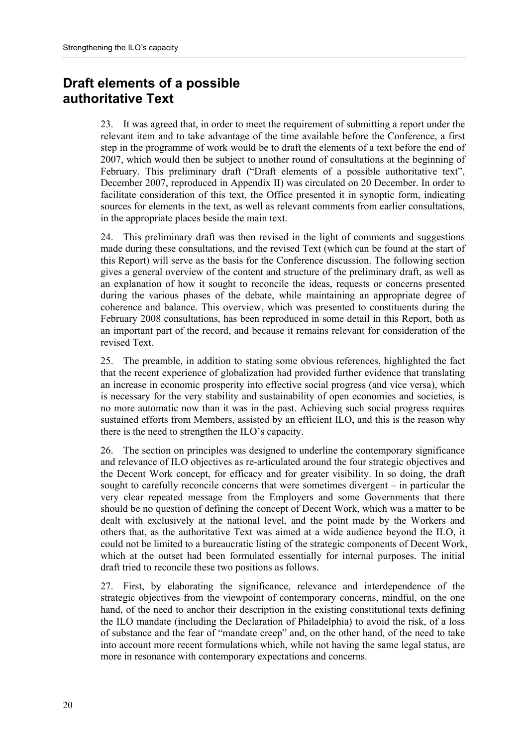# **Draft elements of a possible authoritative Text**

23. It was agreed that, in order to meet the requirement of submitting a report under the relevant item and to take advantage of the time available before the Conference, a first step in the programme of work would be to draft the elements of a text before the end of 2007, which would then be subject to another round of consultations at the beginning of February. This preliminary draft ("Draft elements of a possible authoritative text", December 2007, reproduced in Appendix II) was circulated on 20 December. In order to facilitate consideration of this text, the Office presented it in synoptic form, indicating sources for elements in the text, as well as relevant comments from earlier consultations, in the appropriate places beside the main text.

24. This preliminary draft was then revised in the light of comments and suggestions made during these consultations, and the revised Text (which can be found at the start of this Report) will serve as the basis for the Conference discussion. The following section gives a general overview of the content and structure of the preliminary draft, as well as an explanation of how it sought to reconcile the ideas, requests or concerns presented during the various phases of the debate, while maintaining an appropriate degree of coherence and balance. This overview, which was presented to constituents during the February 2008 consultations, has been reproduced in some detail in this Report, both as an important part of the record, and because it remains relevant for consideration of the revised Text.

25. The preamble, in addition to stating some obvious references, highlighted the fact that the recent experience of globalization had provided further evidence that translating an increase in economic prosperity into effective social progress (and vice versa), which is necessary for the very stability and sustainability of open economies and societies, is no more automatic now than it was in the past. Achieving such social progress requires sustained efforts from Members, assisted by an efficient ILO, and this is the reason why there is the need to strengthen the ILO's capacity.

26. The section on principles was designed to underline the contemporary significance and relevance of ILO objectives as re-articulated around the four strategic objectives and the Decent Work concept, for efficacy and for greater visibility. In so doing, the draft sought to carefully reconcile concerns that were sometimes divergent – in particular the very clear repeated message from the Employers and some Governments that there should be no question of defining the concept of Decent Work, which was a matter to be dealt with exclusively at the national level, and the point made by the Workers and others that, as the authoritative Text was aimed at a wide audience beyond the ILO, it could not be limited to a bureaucratic listing of the strategic components of Decent Work, which at the outset had been formulated essentially for internal purposes. The initial draft tried to reconcile these two positions as follows.

27. First, by elaborating the significance, relevance and interdependence of the strategic objectives from the viewpoint of contemporary concerns, mindful, on the one hand, of the need to anchor their description in the existing constitutional texts defining the ILO mandate (including the Declaration of Philadelphia) to avoid the risk, of a loss of substance and the fear of "mandate creep" and, on the other hand, of the need to take into account more recent formulations which, while not having the same legal status, are more in resonance with contemporary expectations and concerns.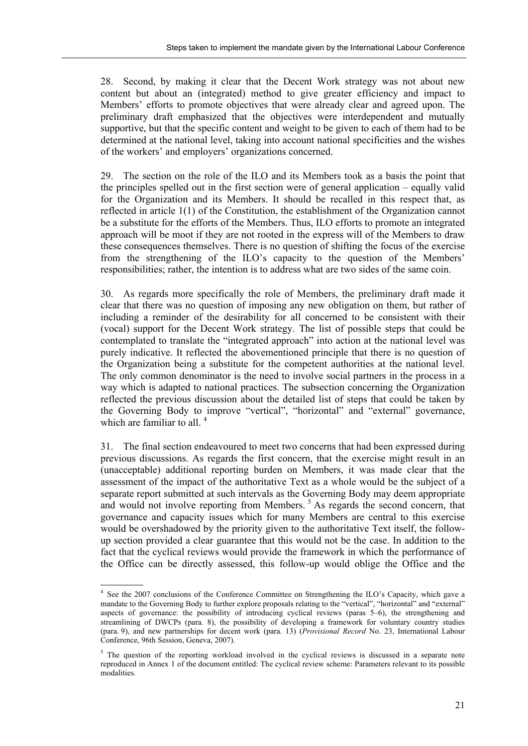28. Second, by making it clear that the Decent Work strategy was not about new content but about an (integrated) method to give greater efficiency and impact to Members' efforts to promote objectives that were already clear and agreed upon. The preliminary draft emphasized that the objectives were interdependent and mutually supportive, but that the specific content and weight to be given to each of them had to be determined at the national level, taking into account national specificities and the wishes of the workers' and employers' organizations concerned.

29. The section on the role of the ILO and its Members took as a basis the point that the principles spelled out in the first section were of general application – equally valid for the Organization and its Members. It should be recalled in this respect that, as reflected in article 1(1) of the Constitution, the establishment of the Organization cannot be a substitute for the efforts of the Members. Thus, ILO efforts to promote an integrated approach will be moot if they are not rooted in the express will of the Members to draw these consequences themselves. There is no question of shifting the focus of the exercise from the strengthening of the ILO's capacity to the question of the Members' responsibilities; rather, the intention is to address what are two sides of the same coin.

30. As regards more specifically the role of Members, the preliminary draft made it clear that there was no question of imposing any new obligation on them, but rather of including a reminder of the desirability for all concerned to be consistent with their (vocal) support for the Decent Work strategy. The list of possible steps that could be contemplated to translate the "integrated approach" into action at the national level was purely indicative. It reflected the abovementioned principle that there is no question of the Organization being a substitute for the competent authorities at the national level. The only common denominator is the need to involve social partners in the process in a way which is adapted to national practices. The subsection concerning the Organization reflected the previous discussion about the detailed list of steps that could be taken by the Governing Body to improve "vertical", "horizontal" and "external" governance, which are familiar to all.<sup>4</sup>

31. The final section endeavoured to meet two concerns that had been expressed during previous discussions. As regards the first concern, that the exercise might result in an (unacceptable) additional reporting burden on Members, it was made clear that the assessment of the impact of the authoritative Text as a whole would be the subject of a separate report submitted at such intervals as the Governing Body may deem appropriate and would not involve reporting from Members.<sup>5</sup> As regards the second concern, that governance and capacity issues which for many Members are central to this exercise would be overshadowed by the priority given to the authoritative Text itself, the followup section provided a clear guarantee that this would not be the case. In addition to the fact that the cyclical reviews would provide the framework in which the performance of the Office can be directly assessed, this follow-up would oblige the Office and the

<sup>&</sup>lt;sup>4</sup> See the 2007 conclusions of the Conference Committee on Strengthening the ILO's Capacity, which gave a mandate to the Governing Body to further explore proposals relating to the "vertical", "horizontal" and "external" aspects of governance: the possibility of introducing cyclical reviews (paras 5–6), the strengthening and streamlining of DWCPs (para. 8), the possibility of developing a framework for voluntary country studies (para. 9), and new partnerships for decent work (para. 13) (*Provisional Record* No. 23, International Labour Conference, 96th Session, Geneva, 2007).

<sup>5</sup> The question of the reporting workload involved in the cyclical reviews is discussed in a separate note reproduced in Annex 1 of the document entitled: The cyclical review scheme: Parameters relevant to its possible modalities.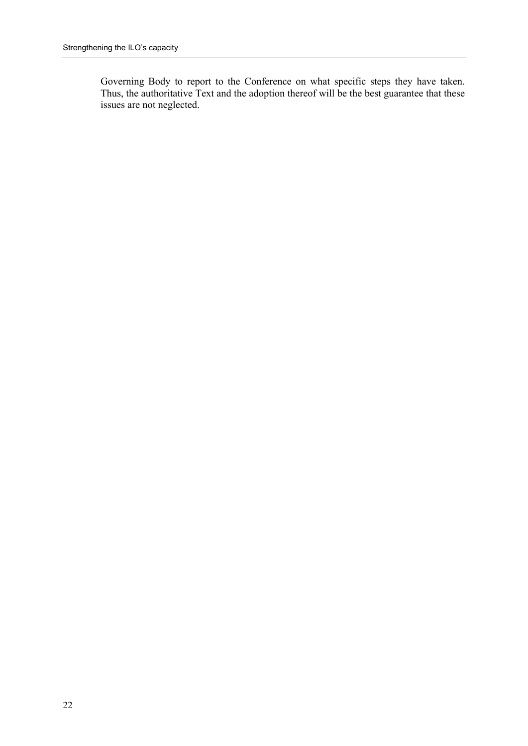Governing Body to report to the Conference on what specific steps they have taken. Thus, the authoritative Text and the adoption thereof will be the best guarantee that these issues are not neglected.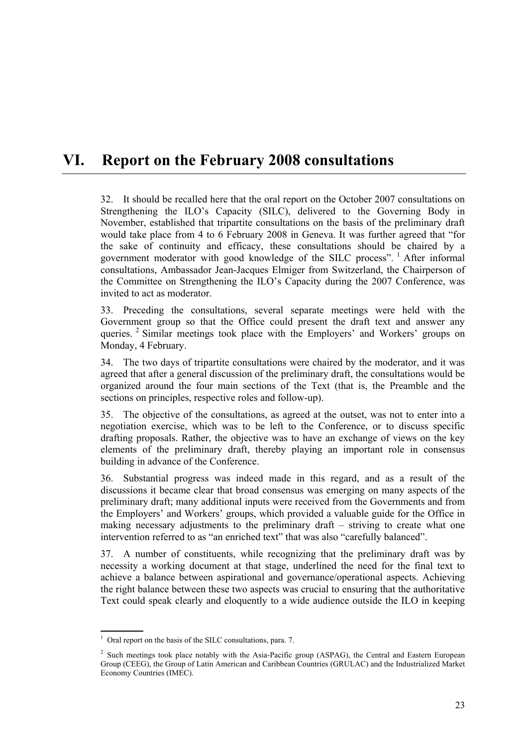# **VI. Report on the February 2008 consultations**

32. It should be recalled here that the oral report on the October 2007 consultations on Strengthening the ILO's Capacity (SILC), delivered to the Governing Body in November, established that tripartite consultations on the basis of the preliminary draft would take place from 4 to 6 February 2008 in Geneva. It was further agreed that "for the sake of continuity and efficacy, these consultations should be chaired by a government moderator with good knowledge of the SILC process".<sup>1</sup> After informal consultations, Ambassador Jean-Jacques Elmiger from Switzerland, the Chairperson of the Committee on Strengthening the ILO's Capacity during the 2007 Conference, was invited to act as moderator.

33. Preceding the consultations, several separate meetings were held with the Government group so that the Office could present the draft text and answer any queries. <sup>2</sup> Similar meetings took place with the Employers' and Workers' groups on Monday, 4 February.

34. The two days of tripartite consultations were chaired by the moderator, and it was agreed that after a general discussion of the preliminary draft, the consultations would be organized around the four main sections of the Text (that is, the Preamble and the sections on principles, respective roles and follow-up).

35. The objective of the consultations, as agreed at the outset, was not to enter into a negotiation exercise, which was to be left to the Conference, or to discuss specific drafting proposals. Rather, the objective was to have an exchange of views on the key elements of the preliminary draft, thereby playing an important role in consensus building in advance of the Conference.

36. Substantial progress was indeed made in this regard, and as a result of the discussions it became clear that broad consensus was emerging on many aspects of the preliminary draft; many additional inputs were received from the Governments and from the Employers' and Workers' groups, which provided a valuable guide for the Office in making necessary adjustments to the preliminary draft – striving to create what one intervention referred to as "an enriched text" that was also "carefully balanced".

37. A number of constituents, while recognizing that the preliminary draft was by necessity a working document at that stage, underlined the need for the final text to achieve a balance between aspirational and governance/operational aspects. Achieving the right balance between these two aspects was crucial to ensuring that the authoritative Text could speak clearly and eloquently to a wide audience outside the ILO in keeping

<sup>&</sup>lt;sup>1</sup> Oral report on the basis of the SILC consultations, para. 7.

<sup>&</sup>lt;sup>2</sup> Such meetings took place notably with the Asia-Pacific group (ASPAG), the Central and Eastern European Group (CEEG), the Group of Latin American and Caribbean Countries (GRULAC) and the Industrialized Market Economy Countries (IMEC).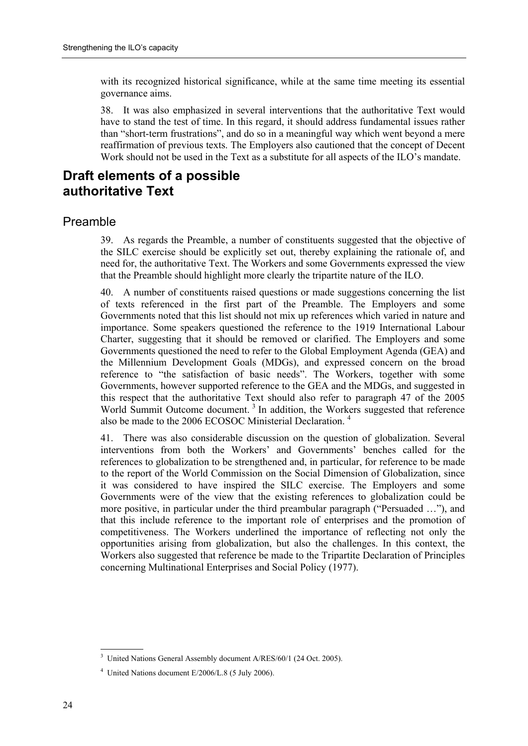with its recognized historical significance, while at the same time meeting its essential governance aims.

38. It was also emphasized in several interventions that the authoritative Text would have to stand the test of time. In this regard, it should address fundamental issues rather than "short-term frustrations", and do so in a meaningful way which went beyond a mere reaffirmation of previous texts. The Employers also cautioned that the concept of Decent Work should not be used in the Text as a substitute for all aspects of the ILO's mandate.

## **Draft elements of a possible authoritative Text**

## Preamble

39. As regards the Preamble, a number of constituents suggested that the objective of the SILC exercise should be explicitly set out, thereby explaining the rationale of, and need for, the authoritative Text. The Workers and some Governments expressed the view that the Preamble should highlight more clearly the tripartite nature of the ILO.

40. A number of constituents raised questions or made suggestions concerning the list of texts referenced in the first part of the Preamble. The Employers and some Governments noted that this list should not mix up references which varied in nature and importance. Some speakers questioned the reference to the 1919 International Labour Charter, suggesting that it should be removed or clarified. The Employers and some Governments questioned the need to refer to the Global Employment Agenda (GEA) and the Millennium Development Goals (MDGs), and expressed concern on the broad reference to "the satisfaction of basic needs". The Workers, together with some Governments, however supported reference to the GEA and the MDGs, and suggested in this respect that the authoritative Text should also refer to paragraph 47 of the 2005 World Summit Outcome document.<sup>3</sup> In addition, the Workers suggested that reference also be made to the 2006 ECOSOC Ministerial Declaration. 4

41. There was also considerable discussion on the question of globalization. Several interventions from both the Workers' and Governments' benches called for the references to globalization to be strengthened and, in particular, for reference to be made to the report of the World Commission on the Social Dimension of Globalization, since it was considered to have inspired the SILC exercise. The Employers and some Governments were of the view that the existing references to globalization could be more positive, in particular under the third preambular paragraph ("Persuaded …"), and that this include reference to the important role of enterprises and the promotion of competitiveness. The Workers underlined the importance of reflecting not only the opportunities arising from globalization, but also the challenges. In this context, the Workers also suggested that reference be made to the Tripartite Declaration of Principles concerning Multinational Enterprises and Social Policy (1977).

 3 United Nations General Assembly document A/RES/60/1 (24 Oct. 2005).

<sup>4</sup> United Nations document E/2006/L.8 (5 July 2006).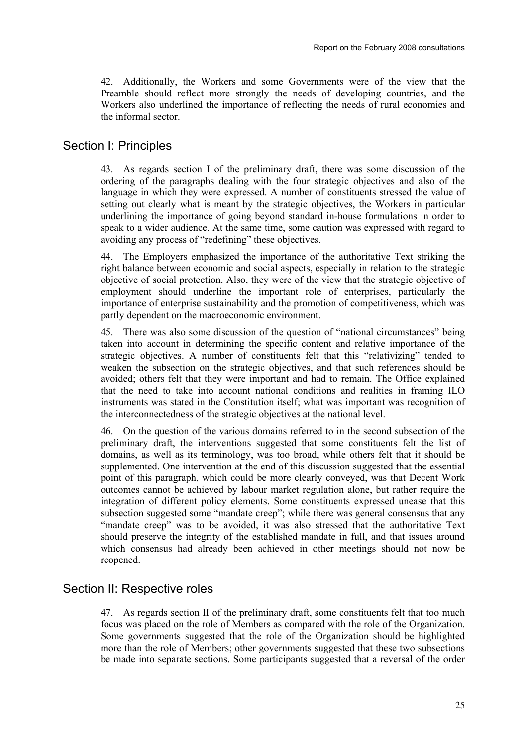42. Additionally, the Workers and some Governments were of the view that the Preamble should reflect more strongly the needs of developing countries, and the Workers also underlined the importance of reflecting the needs of rural economies and the informal sector.

## Section I: Principles

43. As regards section I of the preliminary draft, there was some discussion of the ordering of the paragraphs dealing with the four strategic objectives and also of the language in which they were expressed. A number of constituents stressed the value of setting out clearly what is meant by the strategic objectives, the Workers in particular underlining the importance of going beyond standard in-house formulations in order to speak to a wider audience. At the same time, some caution was expressed with regard to avoiding any process of "redefining" these objectives.

44. The Employers emphasized the importance of the authoritative Text striking the right balance between economic and social aspects, especially in relation to the strategic objective of social protection. Also, they were of the view that the strategic objective of employment should underline the important role of enterprises, particularly the importance of enterprise sustainability and the promotion of competitiveness, which was partly dependent on the macroeconomic environment.

45. There was also some discussion of the question of "national circumstances" being taken into account in determining the specific content and relative importance of the strategic objectives. A number of constituents felt that this "relativizing" tended to weaken the subsection on the strategic objectives, and that such references should be avoided; others felt that they were important and had to remain. The Office explained that the need to take into account national conditions and realities in framing ILO instruments was stated in the Constitution itself; what was important was recognition of the interconnectedness of the strategic objectives at the national level.

46. On the question of the various domains referred to in the second subsection of the preliminary draft, the interventions suggested that some constituents felt the list of domains, as well as its terminology, was too broad, while others felt that it should be supplemented. One intervention at the end of this discussion suggested that the essential point of this paragraph, which could be more clearly conveyed, was that Decent Work outcomes cannot be achieved by labour market regulation alone, but rather require the integration of different policy elements. Some constituents expressed unease that this subsection suggested some "mandate creep"; while there was general consensus that any "mandate creep" was to be avoided, it was also stressed that the authoritative Text should preserve the integrity of the established mandate in full, and that issues around which consensus had already been achieved in other meetings should not now be reopened.

## Section II: Respective roles

47. As regards section II of the preliminary draft, some constituents felt that too much focus was placed on the role of Members as compared with the role of the Organization. Some governments suggested that the role of the Organization should be highlighted more than the role of Members; other governments suggested that these two subsections be made into separate sections. Some participants suggested that a reversal of the order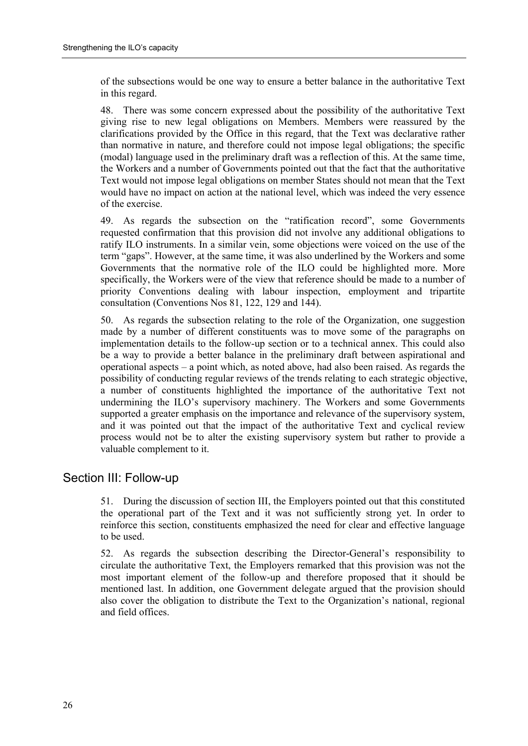of the subsections would be one way to ensure a better balance in the authoritative Text in this regard.

48. There was some concern expressed about the possibility of the authoritative Text giving rise to new legal obligations on Members. Members were reassured by the clarifications provided by the Office in this regard, that the Text was declarative rather than normative in nature, and therefore could not impose legal obligations; the specific (modal) language used in the preliminary draft was a reflection of this. At the same time, the Workers and a number of Governments pointed out that the fact that the authoritative Text would not impose legal obligations on member States should not mean that the Text would have no impact on action at the national level, which was indeed the very essence of the exercise.

49. As regards the subsection on the "ratification record", some Governments requested confirmation that this provision did not involve any additional obligations to ratify ILO instruments. In a similar vein, some objections were voiced on the use of the term "gaps". However, at the same time, it was also underlined by the Workers and some Governments that the normative role of the ILO could be highlighted more. More specifically, the Workers were of the view that reference should be made to a number of priority Conventions dealing with labour inspection, employment and tripartite consultation (Conventions Nos 81, 122, 129 and 144).

50. As regards the subsection relating to the role of the Organization, one suggestion made by a number of different constituents was to move some of the paragraphs on implementation details to the follow-up section or to a technical annex. This could also be a way to provide a better balance in the preliminary draft between aspirational and operational aspects – a point which, as noted above, had also been raised. As regards the possibility of conducting regular reviews of the trends relating to each strategic objective, a number of constituents highlighted the importance of the authoritative Text not undermining the ILO's supervisory machinery. The Workers and some Governments supported a greater emphasis on the importance and relevance of the supervisory system, and it was pointed out that the impact of the authoritative Text and cyclical review process would not be to alter the existing supervisory system but rather to provide a valuable complement to it.

## Section III: Follow-up

51. During the discussion of section III, the Employers pointed out that this constituted the operational part of the Text and it was not sufficiently strong yet. In order to reinforce this section, constituents emphasized the need for clear and effective language to be used.

52. As regards the subsection describing the Director-General's responsibility to circulate the authoritative Text, the Employers remarked that this provision was not the most important element of the follow-up and therefore proposed that it should be mentioned last. In addition, one Government delegate argued that the provision should also cover the obligation to distribute the Text to the Organization's national, regional and field offices.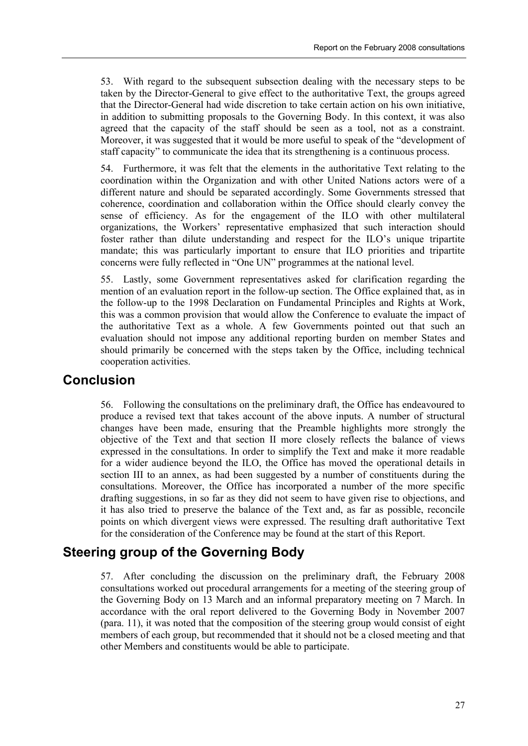53. With regard to the subsequent subsection dealing with the necessary steps to be taken by the Director-General to give effect to the authoritative Text, the groups agreed that the Director-General had wide discretion to take certain action on his own initiative, in addition to submitting proposals to the Governing Body. In this context, it was also agreed that the capacity of the staff should be seen as a tool, not as a constraint. Moreover, it was suggested that it would be more useful to speak of the "development of staff capacity" to communicate the idea that its strengthening is a continuous process.

54. Furthermore, it was felt that the elements in the authoritative Text relating to the coordination within the Organization and with other United Nations actors were of a different nature and should be separated accordingly. Some Governments stressed that coherence, coordination and collaboration within the Office should clearly convey the sense of efficiency. As for the engagement of the ILO with other multilateral organizations, the Workers' representative emphasized that such interaction should foster rather than dilute understanding and respect for the ILO's unique tripartite mandate; this was particularly important to ensure that ILO priorities and tripartite concerns were fully reflected in "One UN" programmes at the national level.

55. Lastly, some Government representatives asked for clarification regarding the mention of an evaluation report in the follow-up section. The Office explained that, as in the follow-up to the 1998 Declaration on Fundamental Principles and Rights at Work, this was a common provision that would allow the Conference to evaluate the impact of the authoritative Text as a whole. A few Governments pointed out that such an evaluation should not impose any additional reporting burden on member States and should primarily be concerned with the steps taken by the Office, including technical cooperation activities.

## **Conclusion**

56. Following the consultations on the preliminary draft, the Office has endeavoured to produce a revised text that takes account of the above inputs. A number of structural changes have been made, ensuring that the Preamble highlights more strongly the objective of the Text and that section II more closely reflects the balance of views expressed in the consultations. In order to simplify the Text and make it more readable for a wider audience beyond the ILO, the Office has moved the operational details in section III to an annex, as had been suggested by a number of constituents during the consultations. Moreover, the Office has incorporated a number of the more specific drafting suggestions, in so far as they did not seem to have given rise to objections, and it has also tried to preserve the balance of the Text and, as far as possible, reconcile points on which divergent views were expressed. The resulting draft authoritative Text for the consideration of the Conference may be found at the start of this Report.

## **Steering group of the Governing Body**

57. After concluding the discussion on the preliminary draft, the February 2008 consultations worked out procedural arrangements for a meeting of the steering group of the Governing Body on 13 March and an informal preparatory meeting on 7 March. In accordance with the oral report delivered to the Governing Body in November 2007 (para. 11), it was noted that the composition of the steering group would consist of eight members of each group, but recommended that it should not be a closed meeting and that other Members and constituents would be able to participate.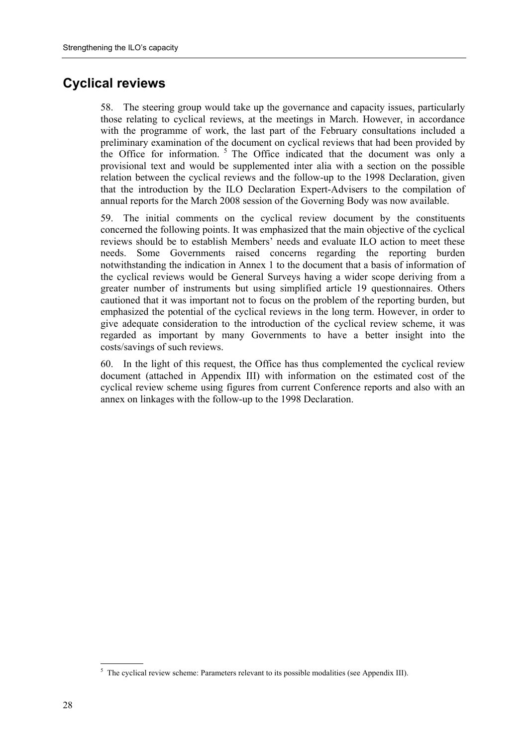# **Cyclical reviews**

58. The steering group would take up the governance and capacity issues, particularly those relating to cyclical reviews, at the meetings in March. However, in accordance with the programme of work, the last part of the February consultations included a preliminary examination of the document on cyclical reviews that had been provided by the Office for information. <sup>5</sup> The Office indicated that the document was only a provisional text and would be supplemented inter alia with a section on the possible relation between the cyclical reviews and the follow-up to the 1998 Declaration, given that the introduction by the ILO Declaration Expert-Advisers to the compilation of annual reports for the March 2008 session of the Governing Body was now available.

59. The initial comments on the cyclical review document by the constituents concerned the following points. It was emphasized that the main objective of the cyclical reviews should be to establish Members' needs and evaluate ILO action to meet these needs. Some Governments raised concerns regarding the reporting burden notwithstanding the indication in Annex 1 to the document that a basis of information of the cyclical reviews would be General Surveys having a wider scope deriving from a greater number of instruments but using simplified article 19 questionnaires. Others cautioned that it was important not to focus on the problem of the reporting burden, but emphasized the potential of the cyclical reviews in the long term. However, in order to give adequate consideration to the introduction of the cyclical review scheme, it was regarded as important by many Governments to have a better insight into the costs/savings of such reviews.

60. In the light of this request, the Office has thus complemented the cyclical review document (attached in Appendix III) with information on the estimated cost of the cyclical review scheme using figures from current Conference reports and also with an annex on linkages with the follow-up to the 1998 Declaration.

  $<sup>5</sup>$  The cyclical review scheme: Parameters relevant to its possible modalities (see Appendix III).</sup>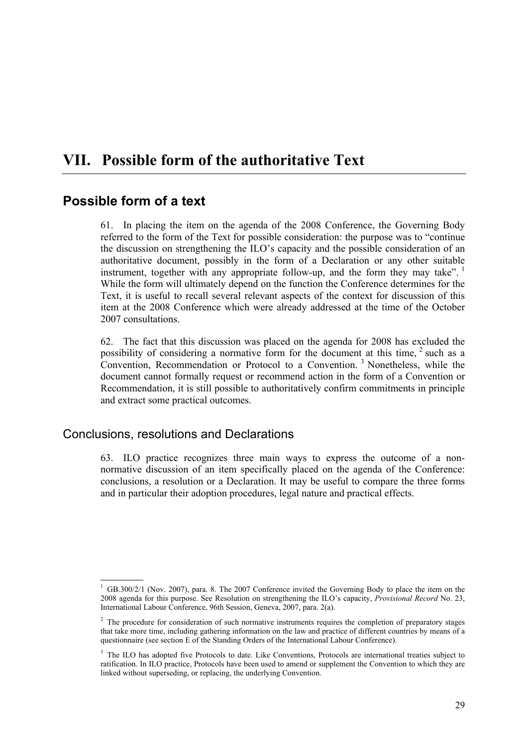# **VII. Possible form of the authoritative Text**

## **Possible form of a text**

61. In placing the item on the agenda of the 2008 Conference, the Governing Body referred to the form of the Text for possible consideration: the purpose was to "continue the discussion on strengthening the ILO's capacity and the possible consideration of an authoritative document, possibly in the form of a Declaration or any other suitable instrument, together with any appropriate follow-up, and the form they may take". While the form will ultimately depend on the function the Conference determines for the Text, it is useful to recall several relevant aspects of the context for discussion of this item at the 2008 Conference which were already addressed at the time of the October 2007 consultations.

62. The fact that this discussion was placed on the agenda for 2008 has excluded the possibility of considering a normative form for the document at this time,  $2$  such as a Convention, Recommendation or Protocol to a Convention.<sup>3</sup> Nonetheless, while the document cannot formally request or recommend action in the form of a Convention or Recommendation, it is still possible to authoritatively confirm commitments in principle and extract some practical outcomes.

## Conclusions, resolutions and Declarations

63. ILO practice recognizes three main ways to express the outcome of a nonnormative discussion of an item specifically placed on the agenda of the Conference: conclusions, a resolution or a Declaration. It may be useful to compare the three forms and in particular their adoption procedures, legal nature and practical effects.

<sup>&</sup>lt;sup>1</sup> GB.300/2/1 (Nov. 2007), para. 8. The 2007 Conference invited the Governing Body to place the item on the 2008 agenda for this purpose. See Resolution on strengthening the ILO's capacity, *Provisional Record* No. 23, International Labour Conference, 96th Session, Geneva, 2007, para. 2(a).

<sup>&</sup>lt;sup>2</sup> The procedure for consideration of such normative instruments requires the completion of preparatory stages that take more time, including gathering information on the law and practice of different countries by means of a questionnaire (see section E of the Standing Orders of the International Labour Conference).

<sup>3</sup> The ILO has adopted five Protocols to date. Like Conventions, Protocols are international treaties subject to ratification. In ILO practice, Protocols have been used to amend or supplement the Convention to which they are linked without superseding, or replacing, the underlying Convention.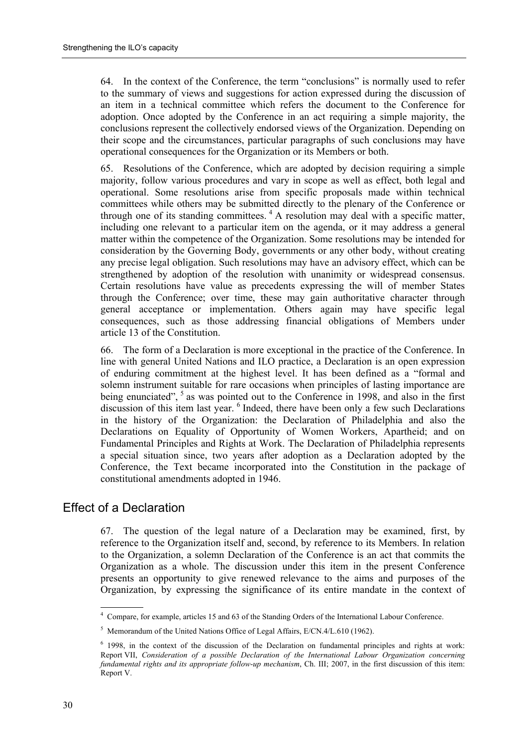64. In the context of the Conference, the term "conclusions" is normally used to refer to the summary of views and suggestions for action expressed during the discussion of an item in a technical committee which refers the document to the Conference for adoption. Once adopted by the Conference in an act requiring a simple majority, the conclusions represent the collectively endorsed views of the Organization. Depending on their scope and the circumstances, particular paragraphs of such conclusions may have operational consequences for the Organization or its Members or both.

65. Resolutions of the Conference, which are adopted by decision requiring a simple majority, follow various procedures and vary in scope as well as effect, both legal and operational. Some resolutions arise from specific proposals made within technical committees while others may be submitted directly to the plenary of the Conference or through one of its standing committees.<sup>4</sup> A resolution may deal with a specific matter, including one relevant to a particular item on the agenda, or it may address a general matter within the competence of the Organization. Some resolutions may be intended for consideration by the Governing Body, governments or any other body, without creating any precise legal obligation. Such resolutions may have an advisory effect, which can be strengthened by adoption of the resolution with unanimity or widespread consensus. Certain resolutions have value as precedents expressing the will of member States through the Conference; over time, these may gain authoritative character through general acceptance or implementation. Others again may have specific legal consequences, such as those addressing financial obligations of Members under article 13 of the Constitution.

66. The form of a Declaration is more exceptional in the practice of the Conference. In line with general United Nations and ILO practice, a Declaration is an open expression of enduring commitment at the highest level. It has been defined as a "formal and solemn instrument suitable for rare occasions when principles of lasting importance are being enunciated", <sup>5</sup> as was pointed out to the Conference in 1998, and also in the first discussion of this item last year. <sup>6</sup> Indeed, there have been only a few such Declarations in the history of the Organization: the Declaration of Philadelphia and also the Declarations on Equality of Opportunity of Women Workers, Apartheid; and on Fundamental Principles and Rights at Work. The Declaration of Philadelphia represents a special situation since, two years after adoption as a Declaration adopted by the Conference, the Text became incorporated into the Constitution in the package of constitutional amendments adopted in 1946.

## Effect of a Declaration

67. The question of the legal nature of a Declaration may be examined, first, by reference to the Organization itself and, second, by reference to its Members. In relation to the Organization, a solemn Declaration of the Conference is an act that commits the Organization as a whole. The discussion under this item in the present Conference presents an opportunity to give renewed relevance to the aims and purposes of the Organization, by expressing the significance of its entire mandate in the context of

<sup>&</sup>lt;sup>4</sup> Compare, for example, articles 15 and 63 of the Standing Orders of the International Labour Conference.

<sup>&</sup>lt;sup>5</sup> Memorandum of the United Nations Office of Legal Affairs, E/CN.4/L.610 (1962).

<sup>&</sup>lt;sup>6</sup> 1998, in the context of the discussion of the Declaration on fundamental principles and rights at work: Report VII, *Consideration of a possible Declaration of the International Labour Organization concerning fundamental rights and its appropriate follow-up mechanism*, Ch. III; 2007, in the first discussion of this item: Report V.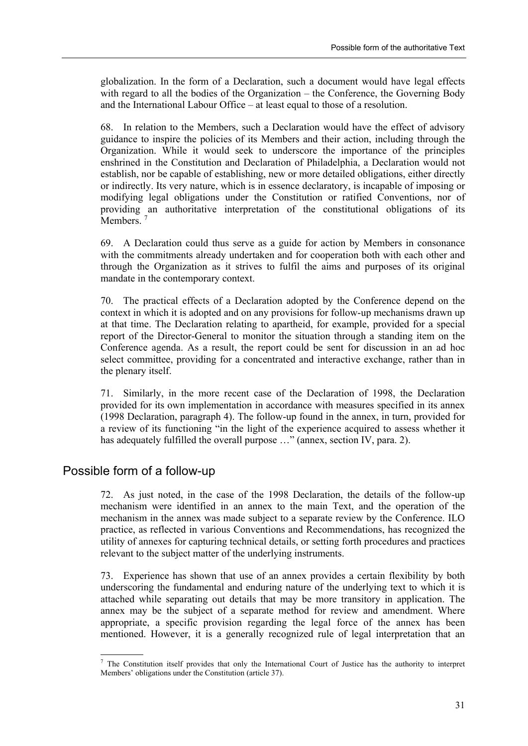globalization. In the form of a Declaration, such a document would have legal effects with regard to all the bodies of the Organization – the Conference, the Governing Body and the International Labour Office – at least equal to those of a resolution.

68. In relation to the Members, such a Declaration would have the effect of advisory guidance to inspire the policies of its Members and their action, including through the Organization. While it would seek to underscore the importance of the principles enshrined in the Constitution and Declaration of Philadelphia, a Declaration would not establish, nor be capable of establishing, new or more detailed obligations, either directly or indirectly. Its very nature, which is in essence declaratory, is incapable of imposing or modifying legal obligations under the Constitution or ratified Conventions, nor of providing an authoritative interpretation of the constitutional obligations of its Members.<sup>7</sup>

69. A Declaration could thus serve as a guide for action by Members in consonance with the commitments already undertaken and for cooperation both with each other and through the Organization as it strives to fulfil the aims and purposes of its original mandate in the contemporary context.

70. The practical effects of a Declaration adopted by the Conference depend on the context in which it is adopted and on any provisions for follow-up mechanisms drawn up at that time. The Declaration relating to apartheid, for example, provided for a special report of the Director-General to monitor the situation through a standing item on the Conference agenda. As a result, the report could be sent for discussion in an ad hoc select committee, providing for a concentrated and interactive exchange, rather than in the plenary itself.

71. Similarly, in the more recent case of the Declaration of 1998, the Declaration provided for its own implementation in accordance with measures specified in its annex (1998 Declaration, paragraph 4). The follow-up found in the annex, in turn, provided for a review of its functioning "in the light of the experience acquired to assess whether it has adequately fulfilled the overall purpose ..." (annex, section IV, para. 2).

## Possible form of a follow-up

72. As just noted, in the case of the 1998 Declaration, the details of the follow-up mechanism were identified in an annex to the main Text, and the operation of the mechanism in the annex was made subject to a separate review by the Conference. ILO practice, as reflected in various Conventions and Recommendations, has recognized the utility of annexes for capturing technical details, or setting forth procedures and practices relevant to the subject matter of the underlying instruments.

73. Experience has shown that use of an annex provides a certain flexibility by both underscoring the fundamental and enduring nature of the underlying text to which it is attached while separating out details that may be more transitory in application. The annex may be the subject of a separate method for review and amendment. Where appropriate, a specific provision regarding the legal force of the annex has been mentioned. However, it is a generally recognized rule of legal interpretation that an

<sup>&</sup>lt;sup>7</sup> The Constitution itself provides that only the International Court of Justice has the authority to interpret Members' obligations under the Constitution (article 37).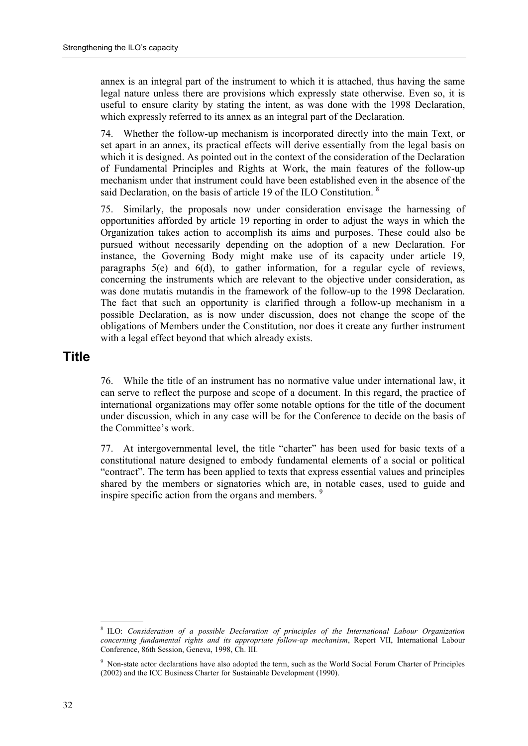annex is an integral part of the instrument to which it is attached, thus having the same legal nature unless there are provisions which expressly state otherwise. Even so, it is useful to ensure clarity by stating the intent, as was done with the 1998 Declaration, which expressly referred to its annex as an integral part of the Declaration.

74. Whether the follow-up mechanism is incorporated directly into the main Text, or set apart in an annex, its practical effects will derive essentially from the legal basis on which it is designed. As pointed out in the context of the consideration of the Declaration of Fundamental Principles and Rights at Work, the main features of the follow-up mechanism under that instrument could have been established even in the absence of the said Declaration, on the basis of article 19 of the ILO Constitution.<sup>8</sup>

75. Similarly, the proposals now under consideration envisage the harnessing of opportunities afforded by article 19 reporting in order to adjust the ways in which the Organization takes action to accomplish its aims and purposes. These could also be pursued without necessarily depending on the adoption of a new Declaration. For instance, the Governing Body might make use of its capacity under article 19, paragraphs 5(e) and 6(d), to gather information, for a regular cycle of reviews, concerning the instruments which are relevant to the objective under consideration, as was done mutatis mutandis in the framework of the follow-up to the 1998 Declaration. The fact that such an opportunity is clarified through a follow-up mechanism in a possible Declaration, as is now under discussion, does not change the scope of the obligations of Members under the Constitution, nor does it create any further instrument with a legal effect beyond that which already exists.

## **Title**

76. While the title of an instrument has no normative value under international law, it can serve to reflect the purpose and scope of a document. In this regard, the practice of international organizations may offer some notable options for the title of the document under discussion, which in any case will be for the Conference to decide on the basis of the Committee's work.

77. At intergovernmental level, the title "charter" has been used for basic texts of a constitutional nature designed to embody fundamental elements of a social or political "contract". The term has been applied to texts that express essential values and principles shared by the members or signatories which are, in notable cases, used to guide and inspire specific action from the organs and members.<sup>9</sup>

<sup>8</sup> ILO: *Consideration of a possible Declaration of principles of the International Labour Organization concerning fundamental rights and its appropriate follow-up mechanism*, Report VII, International Labour Conference, 86th Session, Geneva, 1998, Ch. III.

<sup>&</sup>lt;sup>9</sup> Non-state actor declarations have also adopted the term, such as the World Social Forum Charter of Principles (2002) and the ICC Business Charter for Sustainable Development (1990).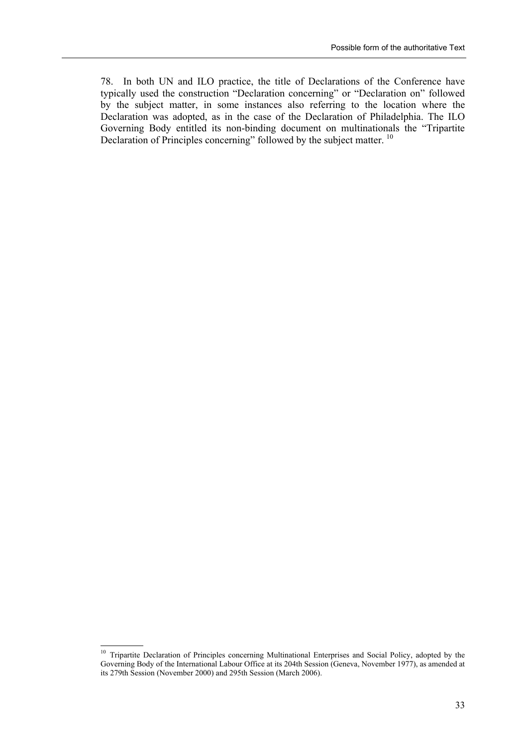78. In both UN and ILO practice, the title of Declarations of the Conference have typically used the construction "Declaration concerning" or "Declaration on" followed by the subject matter, in some instances also referring to the location where the Declaration was adopted, as in the case of the Declaration of Philadelphia. The ILO Governing Body entitled its non-binding document on multinationals the "Tripartite Declaration of Principles concerning" followed by the subject matter. 10

 $\overline{a}$ 

<sup>&</sup>lt;sup>10</sup> Tripartite Declaration of Principles concerning Multinational Enterprises and Social Policy, adopted by the Governing Body of the International Labour Office at its 204th Session (Geneva, November 1977), as amended at its 279th Session (November 2000) and 295th Session (March 2006).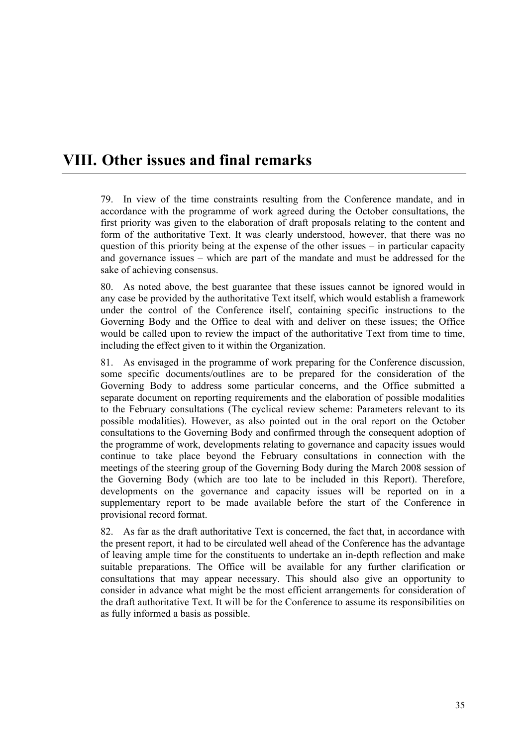# **VIII. Other issues and final remarks**

79. In view of the time constraints resulting from the Conference mandate, and in accordance with the programme of work agreed during the October consultations, the first priority was given to the elaboration of draft proposals relating to the content and form of the authoritative Text. It was clearly understood, however, that there was no question of this priority being at the expense of the other issues – in particular capacity and governance issues – which are part of the mandate and must be addressed for the sake of achieving consensus.

80. As noted above, the best guarantee that these issues cannot be ignored would in any case be provided by the authoritative Text itself, which would establish a framework under the control of the Conference itself, containing specific instructions to the Governing Body and the Office to deal with and deliver on these issues; the Office would be called upon to review the impact of the authoritative Text from time to time, including the effect given to it within the Organization.

81. As envisaged in the programme of work preparing for the Conference discussion, some specific documents/outlines are to be prepared for the consideration of the Governing Body to address some particular concerns, and the Office submitted a separate document on reporting requirements and the elaboration of possible modalities to the February consultations (The cyclical review scheme: Parameters relevant to its possible modalities). However, as also pointed out in the oral report on the October consultations to the Governing Body and confirmed through the consequent adoption of the programme of work, developments relating to governance and capacity issues would continue to take place beyond the February consultations in connection with the meetings of the steering group of the Governing Body during the March 2008 session of the Governing Body (which are too late to be included in this Report). Therefore, developments on the governance and capacity issues will be reported on in a supplementary report to be made available before the start of the Conference in provisional record format.

82. As far as the draft authoritative Text is concerned, the fact that, in accordance with the present report, it had to be circulated well ahead of the Conference has the advantage of leaving ample time for the constituents to undertake an in-depth reflection and make suitable preparations. The Office will be available for any further clarification or consultations that may appear necessary. This should also give an opportunity to consider in advance what might be the most efficient arrangements for consideration of the draft authoritative Text. It will be for the Conference to assume its responsibilities on as fully informed a basis as possible.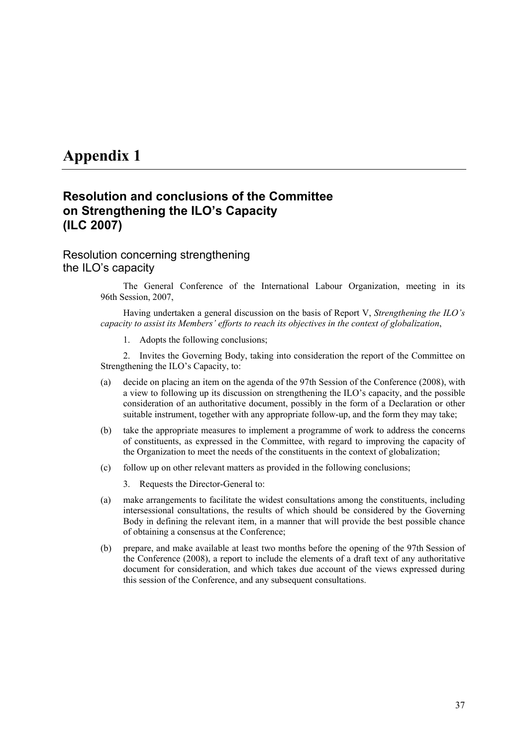# **Appendix 1**

## **Resolution and conclusions of the Committee on Strengthening the ILO's Capacity (ILC 2007)**

Resolution concerning strengthening the ILO's capacity

> The General Conference of the International Labour Organization, meeting in its 96th Session, 2007,

> Having undertaken a general discussion on the basis of Report V, *Strengthening the ILO's capacity to assist its Members' efforts to reach its objectives in the context of globalization*,

1. Adopts the following conclusions;

2. Invites the Governing Body, taking into consideration the report of the Committee on Strengthening the ILO's Capacity, to:

- (a) decide on placing an item on the agenda of the 97th Session of the Conference (2008), with a view to following up its discussion on strengthening the ILO's capacity, and the possible consideration of an authoritative document, possibly in the form of a Declaration or other suitable instrument, together with any appropriate follow-up, and the form they may take;
- (b) take the appropriate measures to implement a programme of work to address the concerns of constituents, as expressed in the Committee, with regard to improving the capacity of the Organization to meet the needs of the constituents in the context of globalization;
- (c) follow up on other relevant matters as provided in the following conclusions;
	- 3. Requests the Director-General to:
- (a) make arrangements to facilitate the widest consultations among the constituents, including intersessional consultations, the results of which should be considered by the Governing Body in defining the relevant item, in a manner that will provide the best possible chance of obtaining a consensus at the Conference;
- (b) prepare, and make available at least two months before the opening of the 97th Session of the Conference (2008), a report to include the elements of a draft text of any authoritative document for consideration, and which takes due account of the views expressed during this session of the Conference, and any subsequent consultations.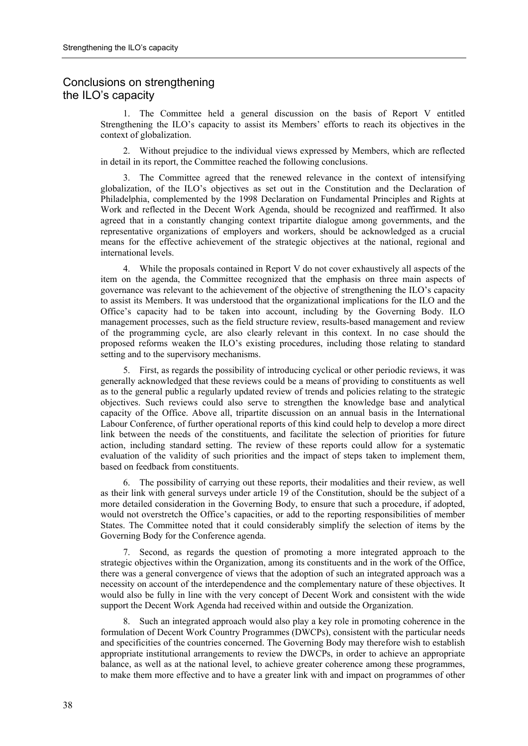## Conclusions on strengthening the ILO's capacity

1. The Committee held a general discussion on the basis of Report V entitled Strengthening the ILO's capacity to assist its Members' efforts to reach its objectives in the context of globalization.

2. Without prejudice to the individual views expressed by Members, which are reflected in detail in its report, the Committee reached the following conclusions.

3. The Committee agreed that the renewed relevance in the context of intensifying globalization, of the ILO's objectives as set out in the Constitution and the Declaration of Philadelphia, complemented by the 1998 Declaration on Fundamental Principles and Rights at Work and reflected in the Decent Work Agenda, should be recognized and reaffirmed. It also agreed that in a constantly changing context tripartite dialogue among governments, and the representative organizations of employers and workers, should be acknowledged as a crucial means for the effective achievement of the strategic objectives at the national, regional and international levels.

4. While the proposals contained in Report V do not cover exhaustively all aspects of the item on the agenda, the Committee recognized that the emphasis on three main aspects of governance was relevant to the achievement of the objective of strengthening the ILO's capacity to assist its Members. It was understood that the organizational implications for the ILO and the Office's capacity had to be taken into account, including by the Governing Body. ILO management processes, such as the field structure review, results-based management and review of the programming cycle, are also clearly relevant in this context. In no case should the proposed reforms weaken the ILO's existing procedures, including those relating to standard setting and to the supervisory mechanisms.

5. First, as regards the possibility of introducing cyclical or other periodic reviews, it was generally acknowledged that these reviews could be a means of providing to constituents as well as to the general public a regularly updated review of trends and policies relating to the strategic objectives. Such reviews could also serve to strengthen the knowledge base and analytical capacity of the Office. Above all, tripartite discussion on an annual basis in the International Labour Conference, of further operational reports of this kind could help to develop a more direct link between the needs of the constituents, and facilitate the selection of priorities for future action, including standard setting. The review of these reports could allow for a systematic evaluation of the validity of such priorities and the impact of steps taken to implement them, based on feedback from constituents.

6. The possibility of carrying out these reports, their modalities and their review, as well as their link with general surveys under article 19 of the Constitution, should be the subject of a more detailed consideration in the Governing Body, to ensure that such a procedure, if adopted, would not overstretch the Office's capacities, or add to the reporting responsibilities of member States. The Committee noted that it could considerably simplify the selection of items by the Governing Body for the Conference agenda.

7. Second, as regards the question of promoting a more integrated approach to the strategic objectives within the Organization, among its constituents and in the work of the Office, there was a general convergence of views that the adoption of such an integrated approach was a necessity on account of the interdependence and the complementary nature of these objectives. It would also be fully in line with the very concept of Decent Work and consistent with the wide support the Decent Work Agenda had received within and outside the Organization.

8. Such an integrated approach would also play a key role in promoting coherence in the formulation of Decent Work Country Programmes (DWCPs), consistent with the particular needs and specificities of the countries concerned. The Governing Body may therefore wish to establish appropriate institutional arrangements to review the DWCPs, in order to achieve an appropriate balance, as well as at the national level, to achieve greater coherence among these programmes, to make them more effective and to have a greater link with and impact on programmes of other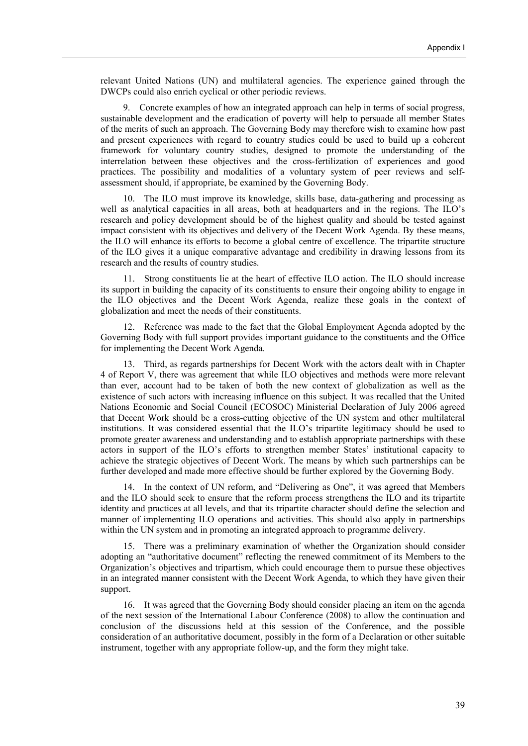relevant United Nations (UN) and multilateral agencies. The experience gained through the DWCPs could also enrich cyclical or other periodic reviews.

9. Concrete examples of how an integrated approach can help in terms of social progress, sustainable development and the eradication of poverty will help to persuade all member States of the merits of such an approach. The Governing Body may therefore wish to examine how past and present experiences with regard to country studies could be used to build up a coherent framework for voluntary country studies, designed to promote the understanding of the interrelation between these objectives and the cross-fertilization of experiences and good practices. The possibility and modalities of a voluntary system of peer reviews and selfassessment should, if appropriate, be examined by the Governing Body.

10. The ILO must improve its knowledge, skills base, data-gathering and processing as well as analytical capacities in all areas, both at headquarters and in the regions. The ILO's research and policy development should be of the highest quality and should be tested against impact consistent with its objectives and delivery of the Decent Work Agenda. By these means, the ILO will enhance its efforts to become a global centre of excellence. The tripartite structure of the ILO gives it a unique comparative advantage and credibility in drawing lessons from its research and the results of country studies.

11. Strong constituents lie at the heart of effective ILO action. The ILO should increase its support in building the capacity of its constituents to ensure their ongoing ability to engage in the ILO objectives and the Decent Work Agenda, realize these goals in the context of globalization and meet the needs of their constituents.

12. Reference was made to the fact that the Global Employment Agenda adopted by the Governing Body with full support provides important guidance to the constituents and the Office for implementing the Decent Work Agenda.

13. Third, as regards partnerships for Decent Work with the actors dealt with in Chapter 4 of Report V, there was agreement that while ILO objectives and methods were more relevant than ever, account had to be taken of both the new context of globalization as well as the existence of such actors with increasing influence on this subject. It was recalled that the United Nations Economic and Social Council (ECOSOC) Ministerial Declaration of July 2006 agreed that Decent Work should be a cross-cutting objective of the UN system and other multilateral institutions. It was considered essential that the ILO's tripartite legitimacy should be used to promote greater awareness and understanding and to establish appropriate partnerships with these actors in support of the ILO's efforts to strengthen member States' institutional capacity to achieve the strategic objectives of Decent Work. The means by which such partnerships can be further developed and made more effective should be further explored by the Governing Body.

14. In the context of UN reform, and "Delivering as One", it was agreed that Members and the ILO should seek to ensure that the reform process strengthens the ILO and its tripartite identity and practices at all levels, and that its tripartite character should define the selection and manner of implementing ILO operations and activities. This should also apply in partnerships within the UN system and in promoting an integrated approach to programme delivery.

15. There was a preliminary examination of whether the Organization should consider adopting an "authoritative document" reflecting the renewed commitment of its Members to the Organization's objectives and tripartism, which could encourage them to pursue these objectives in an integrated manner consistent with the Decent Work Agenda, to which they have given their support.

16. It was agreed that the Governing Body should consider placing an item on the agenda of the next session of the International Labour Conference (2008) to allow the continuation and conclusion of the discussions held at this session of the Conference, and the possible consideration of an authoritative document, possibly in the form of a Declaration or other suitable instrument, together with any appropriate follow-up, and the form they might take.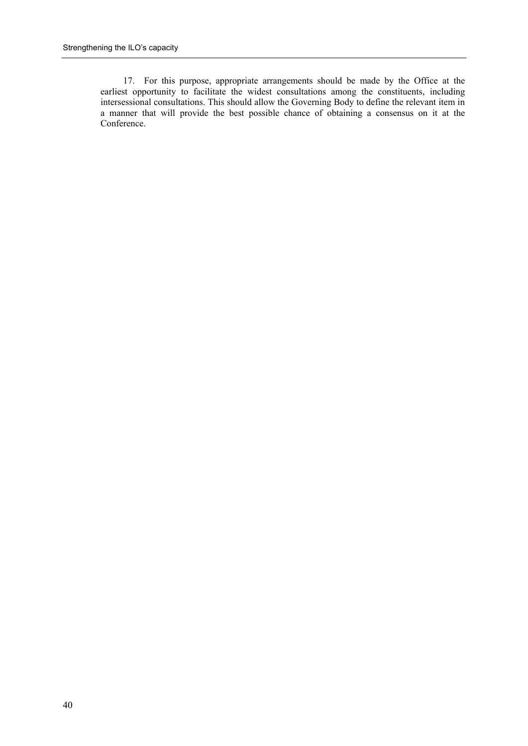17. For this purpose, appropriate arrangements should be made by the Office at the earliest opportunity to facilitate the widest consultations among the constituents, including intersessional consultations. This should allow the Governing Body to define the relevant item in a manner that will provide the best possible chance of obtaining a consensus on it at the Conference.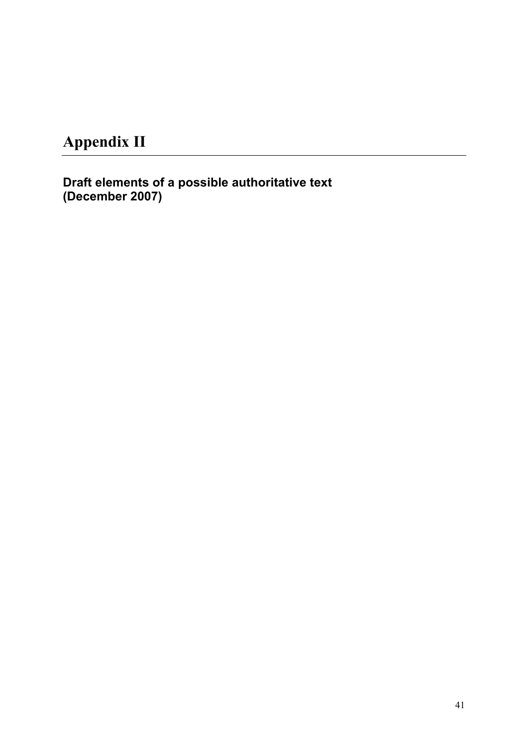**Appendix II** 

**Draft elements of a possible authoritative text (December 2007)**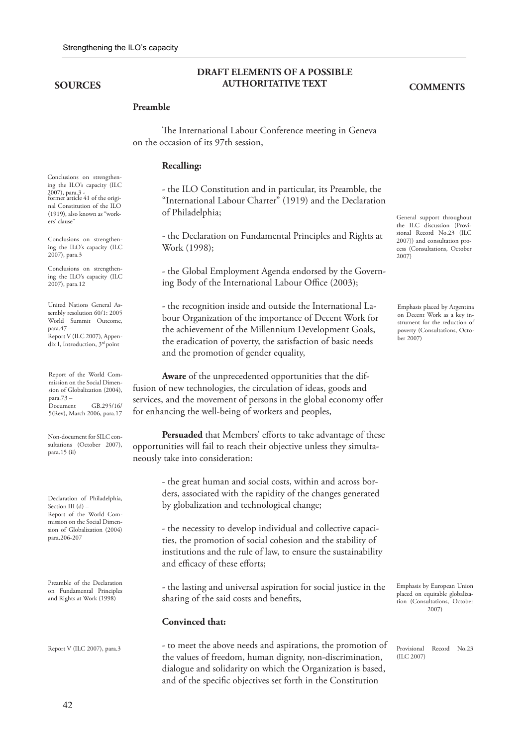#### **SOURCES**

#### **DRAFT ELEMENTS OF A POSSIBLE AUTHORITATIVE TEXT**

#### **COMMENTS**

#### **Preamble**

The International Labour Conference meeting in Geneva on the occasion of its 97th session,

#### **Recalling:**

- the ILO Constitution and in particular, its Preamble, the "International Labour Charter" (1919) and the Declaration of Philadelphia;

- the Declaration on Fundamental Principles and Rights at Work (1998);

- the Global Employment Agenda endorsed by the Governing Body of the International Labour Office (2003);

- the recognition inside and outside the International Labour Organization of the importance of Decent Work for the achievement of the Millennium Development Goals, the eradication of poverty, the satisfaction of basic needs and the promotion of gender equality,

**Aware** of the unprecedented opportunities that the diffusion of new technologies, the circulation of ideas, goods and services, and the movement of persons in the global economy offer for enhancing the well-being of workers and peoples,

**Persuaded** that Members' efforts to take advantage of these opportunities will fail to reach their objective unless they simultaneously take into consideration:

> - the great human and social costs, within and across borders, associated with the rapidity of the changes generated by globalization and technological change;

> - the necessity to develop individual and collective capacities, the promotion of social cohesion and the stability of institutions and the rule of law, to ensure the sustainability and efficacy of these efforts;

- the lasting and universal aspiration for social justice in the sharing of the said costs and benefits,

#### **Convinced that:**

Report V (ILC 2007), para.3 **Provisional Property C** to meet the above needs and aspirations, the promotion of  $\frac{P_{\text{rovisional}}}{P_{\text{rovisional}}}$  Record No.23 the values of freedom, human dignity, non-discrimination, dialogue and solidarity on which the Organization is based, and of the specific objectives set forth in the Constitution

General support throughout the ILC discussion (Provisional Record No.23 (ILC 2007)) and consultation process (Consultations, October 2007)

Emphasis placed by Argentina on Decent Work as a key instrument for the reduction of poverty (Consultations, October 2007)

Emphasis by European Union placed on equitable globalization (Consultations, October 2007)

(ILC 2007)

Conclusions on strengthening the ILO's capacity (ILC 2007), para.3 - former article 41 of the original Constitution of the ILO (1919), also known as "workers' clause"

Conclusions on strengthening the ILO's capacity (ILC 2007), para.3

Conclusions on strengthening the ILO's capacity (ILC 2007), para.12

United Nations General Assembly resolution 60/1: 2005 World Summit Outcome, para.47 – Report V (ILC 2007), Appendix I, Introduction, 3<sup>rd</sup> point

Report of the World Commission on the Social Dimension of Globalization (2004), para.73 –<br>Document GB.295/16/ 5(Rev), March 2006, para.17

Non-document for SILC consultations (October 2007), para.15 (ii)

Declaration of Philadelphia, Section III (d) – Report of the World Commission on the Social Dimension of Globalization (2004) para.206-207

Preamble of the Declaration on Fundamental Principles and Rights at Work (1998)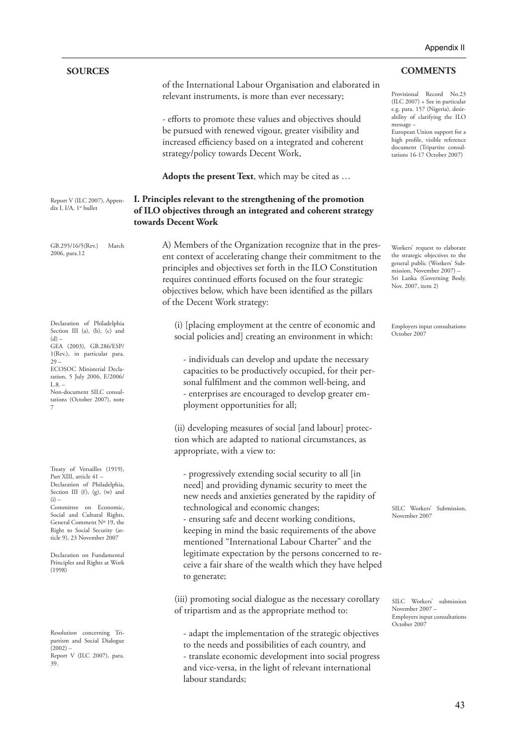#### **SOURCES COMMENTS**

Report V (ILC 2007), Appendix I, I/A, 1<sup>st</sup> bullet

GB.295/16/5(Rev.) March

2006, para.12

of the International Labour Organisation and elaborated in relevant instruments, is more than ever necessary;

- efforts to promote these values and objectives should be pursued with renewed vigour, greater visibility and increased efficiency based on a integrated and coherent strategy/policy towards Decent Work,

**Adopts the present Text**, which may be cited as …

#### **I. Principles relevant to the strengthening of the promotion of ILO objectives through an integrated and coherent strategy towards Decent Work**

A) Members of the Organization recognize that in the present context of accelerating change their commitment to the principles and objectives set forth in the ILO Constitution requires continued efforts focused on the four strategic objectives below, which have been identified as the pillars of the Decent Work strategy:

(i) [placing employment at the centre of economic and social policies and] creating an environment in which:

- individuals can develop and update the necessary capacities to be productively occupied, for their personal fulfilment and the common well-being, and - enterprises are encouraged to develop greater employment opportunities for all;

(ii) developing measures of social [and labour] protection which are adapted to national circumstances, as appropriate, with a view to:

- progressively extending social security to all [in need] and providing dynamic security to meet the new needs and anxieties generated by the rapidity of technological and economic changes; - ensuring safe and decent working conditions, keeping in mind the basic requirements of the above mentioned "International Labour Charter" and the legitimate expectation by the persons concerned to receive a fair share of the wealth which they have helped to generate;

(iii) promoting social dialogue as the necessary corollary of tripartism and as the appropriate method to:

- adapt the implementation of the strategic objectives to the needs and possibilities of each country, and - translate economic development into social progress and vice-versa, in the light of relevant international labour standards;

Provisional Record No.23 (ILC 2007) + See in particular e.g. para. 157 (Nigeria), desirability of clarifying the ILO message – European Union support for a high profile, visible reference document (Tripartite consultations 16-17 October 2007)

Workers' request to elaborate the strategic objectives to the general public (Workers' Submission, November 2007) – Sri Lanka (Governing Body, Nov. 2007, item 2)

Employers input consultations October 2007

SILC Workers' Submission, November 2007

SILC Workers' submission November 2007 – Employers input consultations October 2007

Declaration of Philadelphia Section III (a), (b), (c) and  $(d)$  – GEA (2003), GB.286/ESP/ 1(Rev.), in particular para.  $29 -$ ECOSOC Ministerial Declaration, 5 July 2006, E/2006/  $I.8$  – Non-document SILC consul-

tations (October 2007), note 7

Treaty of Versailles (1919), Part XIII, article 41 – Declaration of Philadelphia, Section III (f), (g), (w) and  $(i)$  – Committee on Economic,

Social and Cultural Rights, General Comment Nº 19, the Right to Social Security (article 9), 23 November 2007

Declaration on Fundamental Principles and Rights at Work (1998)

Resolution concerning Tripartism and Social Dialogue  $(2002)$  – Report V (ILC 2007), para. 39.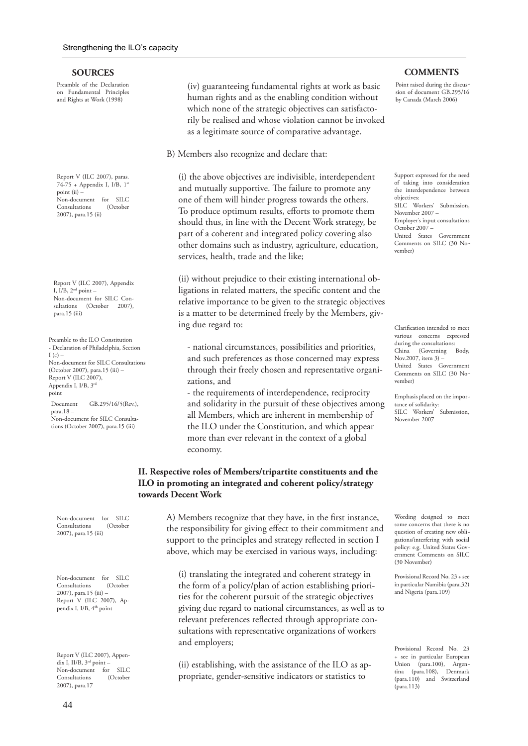Preamble of the Declaration on Fundamental Principles and Rights at Work (1998)

Report V (ILC 2007), paras. 74-75 + Appendix I, I/B, 1st point  $(ii)$  – Non-document for SILC<br>Consultations (October Consultations 2007), para.15 (ii)

Report V (ILC 2007), Appendix I,  $I/B$ ,  $2<sup>nd</sup>$  point – Non-document for SILC Consultations (October 2007), para.15 (iii)

Preamble to the ILO Constitution - Declaration of Philadelphia, Section  $I(c)$  – Non-document for SILC Consultations (October 2007), para.15 (iii) – Report V (ILC 2007), Appendix I, I/B, 3rd point Document GB.295/16/5(Rev.), para.18 –

Non-document for SILC Consultations (October 2007), para.15 (iii)

Non-document for SILC Consultations 2007), para.15 (iii)

Non-document for SILC Consultations 2007), para.15 (iii) – Report V (ILC 2007), Appendix I, I/B, 4<sup>th</sup> point

Report V (ILC 2007), Appendix I, II/B, 3<sup>rd</sup> point -Non-document for SILC Consultations (October 2007), para.17

(iv) guaranteeing fundamental rights at work as basic human rights and as the enabling condition without which none of the strategic objectives can satisfactorily be realised and whose violation cannot be invoked as a legitimate source of comparative advantage.

B) Members also recognize and declare that:

(i) the above objectives are indivisible, interdependent and mutually supportive. The failure to promote any one of them will hinder progress towards the others. To produce optimum results, efforts to promote them should thus, in line with the Decent Work strategy, be part of a coherent and integrated policy covering also other domains such as industry, agriculture, education, services, health, trade and the like;

(ii) without prejudice to their existing international obligations in related matters, the specific content and the relative importance to be given to the strategic objectives is a matter to be determined freely by the Members, giving due regard to:

- national circumstances, possibilities and priorities, and such preferences as those concerned may express through their freely chosen and representative organizations, and

- the requirements of interdependence, reciprocity and solidarity in the pursuit of these objectives among all Members, which are inherent in membership of the ILO under the Constitution, and which appear more than ever relevant in the context of a global economy.

#### **II. Respective roles of Members/tripartite constituents and the ILO in promoting an integrated and coherent policy/strategy towards Decent Work**

A) Members recognize that they have, in the first instance, the responsibility for giving effect to their commitment and support to the principles and strategy reflected in section I above, which may be exercised in various ways, including:

(i) translating the integrated and coherent strategy in the form of a policy/plan of action establishing priorities for the coherent pursuit of the strategic objectives giving due regard to national circumstances, as well as to relevant preferences reflected through appropriate consultations with representative organizations of workers and employers;

(ii) establishing, with the assistance of the ILO as appropriate, gender-sensitive indicators or statistics to

**SOURCES COMMENTS**

Point raised during the discussion of document GB.295/16 by Canada (March 2006)

Support expressed for the need of taking into consideration the interdependence between objectives: SILC Workers' Submission, November 2007 – Employer's input consultations October 2007 – United States Government Comments on SILC (30 November)

Clarification intended to meet various concerns expressed during the consultations: China (Governing Body, Nov.2007, item 3) – United States Government Comments on SILC (30 November)

Emphasis placed on the importance of solidarity: SILC Workers' Submission, November 2007

Wording designed to meet some concerns that there is no question of creating new obligations/interfering with social policy: e.g. United States Gov ernment Comments on SILC (30 November)

Provisional Record No. 23 + see in particular Namibia (para.32) and Nigeria (para.109)

Provisional Record No. 23 + see in particular European Union (para.100), Argentina (para.108), Denmark (para.110) and Switzerland (para.113)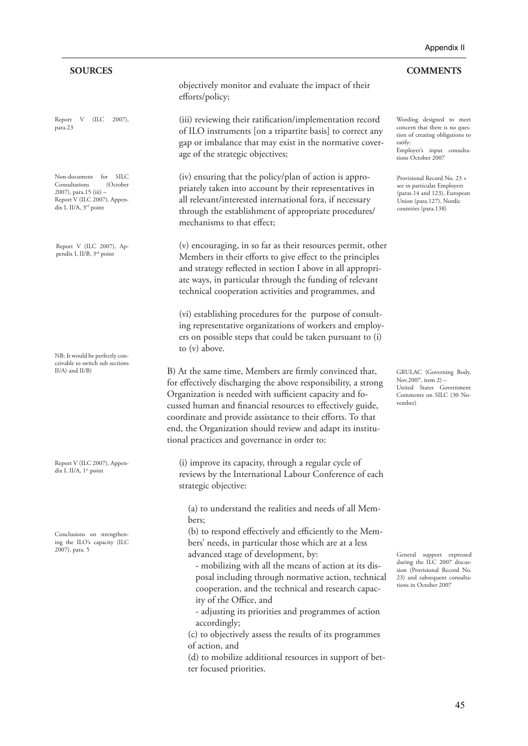Report V (ILC 2007), para.23

Non-document for SILC Consultations 2007), para.15 (iii) – Report V (ILC 2007), Appendix I, II/A,  $3<sup>rd</sup>$  point

Report V (ILC 2007), Appendix I, II/B, 3<sup>rd</sup> point

NB: It would be perfectly conceivable to switch sub sections II/A) and II/B)

Report V (ILC 2007), Appendix I, II/A, 1<sup>st</sup> point

Conclusions on strengthening the ILO's capacity (ILC 2007), para. 5

objectively monitor and evaluate the impact of their efforts/policy;

(iii) reviewing their ratification/implementation record of ILO instruments [on a tripartite basis] to correct any gap or imbalance that may exist in the normative coverage of the strategic objectives;

(iv) ensuring that the policy/plan of action is appropriately taken into account by their representatives in all relevant/interested international fora, if necessary through the establishment of appropriate procedures/ mechanisms to that effect;

(v) encouraging, in so far as their resources permit, other Members in their efforts to give effect to the principles and strategy reflected in section I above in all appropriate ways, in particular through the funding of relevant technical cooperation activities and programmes, and

(vi) establishing procedures for the purpose of consulting representative organizations of workers and employers on possible steps that could be taken pursuant to (i) to (v) above.

B) At the same time, Members are firmly convinced that, for effectively discharging the above responsibility, a strong Organization is needed with sufficient capacity and focussed human and financial resources to effectively guide, coordinate and provide assistance to their efforts. To that end, the Organization should review and adapt its institutional practices and governance in order to:

(i) improve its capacity, through a regular cycle of reviews by the International Labour Conference of each strategic objective:

(a) to understand the realities and needs of all Members;

(b) to respond effectively and efficiently to the Members' needs, in particular those which are at a less advanced stage of development, by:

- mobilizing with all the means of action at its disposal including through normative action, technical cooperation, and the technical and research capacity of the Office, and

- adjusting its priorities and programmes of action accordingly;

(c) to objectively assess the results of its programmes of action, and

(d) to mobilize additional resources in support of better focused priorities.

#### **SOURCES COMMENTS**

Wording designed to meet concern that there is no question of creating obligations to ratify: Employer's input consulta-

tions October 2007

Provisional Record No. 23 + see in particular Employers (paras.14 and 123), European Union (para.127), Nordic countries (para.138)

GRULAC (Governing Body, Nov.2007, item 2) – United States Government Comments on SILC (30 November)

General support expressed during the ILC 2007 discussion (Provisional Record No. 23) and subsequent consultations in October 2007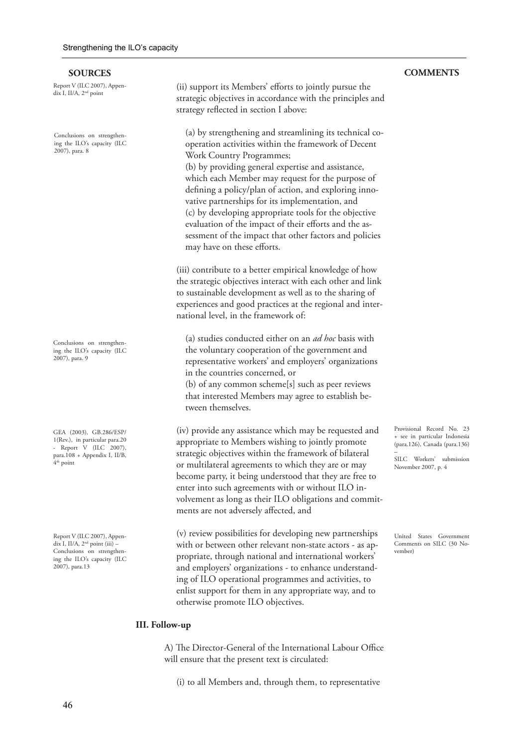Report V (ILC 2007), Appendix I, II/A, 2<sup>nd</sup> point

Conclusions on strengthening the ILO's capacity (ILC 2007), para. 8

Conclusions on strengthening the ILO's capacity (ILC 2007), para. 9

GEA (2003), GB.286/ESP/ 1(Rev.), in particular para.20  $-$  Report V (ILC 2007), para.108 + Appendix I, II/B,  $4<sup>th</sup>$  point

Report V (ILC 2007), Appendix I, II/A, 2nd point (iii) – Conclusions on strengthening the ILO's capacity (ILC 2007), para.13

(ii) support its Members' efforts to jointly pursue the strategic objectives in accordance with the principles and strategy reflected in section I above:

(a) by strengthening and streamlining its technical cooperation activities within the framework of Decent Work Country Programmes;

(b) by providing general expertise and assistance, which each Member may request for the purpose of defining a policy/plan of action, and exploring innovative partnerships for its implementation, and (c) by developing appropriate tools for the objective evaluation of the impact of their efforts and the assessment of the impact that other factors and policies may have on these efforts.

(iii) contribute to a better empirical knowledge of how the strategic objectives interact with each other and link to sustainable development as well as to the sharing of experiences and good practices at the regional and international level, in the framework of:

(a) studies conducted either on an *ad hoc* basis with the voluntary cooperation of the government and representative workers' and employers' organizations in the countries concerned, or (b) of any common scheme[s] such as peer reviews

that interested Members may agree to establish between themselves.

(iv) provide any assistance which may be requested and appropriate to Members wishing to jointly promote strategic objectives within the framework of bilateral or multilateral agreements to which they are or may become party, it being understood that they are free to enter into such agreements with or without ILO involvement as long as their ILO obligations and commitments are not adversely affected, and

(v) review possibilities for developing new partnerships with or between other relevant non-state actors - as appropriate, through national and international workers' and employers' organizations - to enhance understanding of ILO operational programmes and activities, to enlist support for them in any appropriate way, and to otherwise promote ILO objectives.

#### **III. Follow-up**

A) The Director-General of the International Labour Office will ensure that the present text is circulated:

(i) to all Members and, through them, to representative

#### **SOURCES COMMENTS**

Provisional Record No. 23 + see in particular Indonesia (para.126), Canada (para.136)

– SILC Workers' submission November 2007, p. 4

United States Government Comments on SILC (30 November)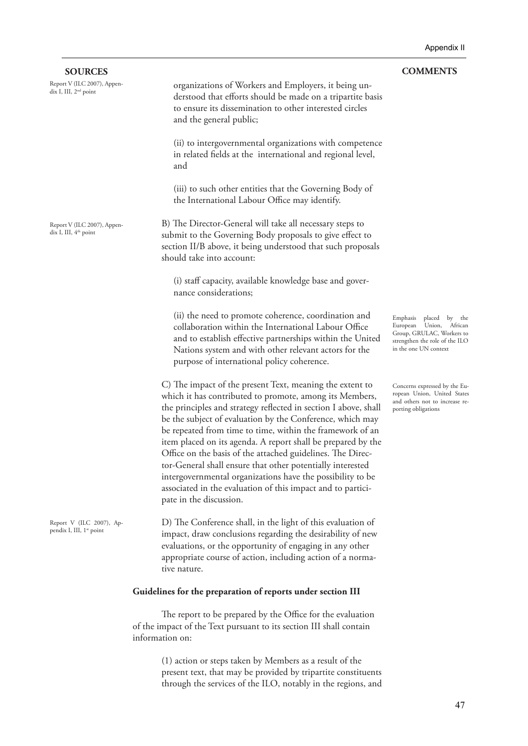#### **SOURCES COMMENTS**

| <b>SOURCES</b>                                                   |                                                                                                                                                                                                                                                                                                                                                                                                                                                                                                                                                                                                                                                                      |
|------------------------------------------------------------------|----------------------------------------------------------------------------------------------------------------------------------------------------------------------------------------------------------------------------------------------------------------------------------------------------------------------------------------------------------------------------------------------------------------------------------------------------------------------------------------------------------------------------------------------------------------------------------------------------------------------------------------------------------------------|
| Report V (ILC 2007), Appen-<br>dix I, III, 2 <sup>nd</sup> point | organizations of Workers and Employers, it being un-<br>derstood that efforts should be made on a tripartite basis<br>to ensure its dissemination to other interested circles<br>and the general public;                                                                                                                                                                                                                                                                                                                                                                                                                                                             |
|                                                                  | (ii) to intergovernmental organizations with competence<br>in related fields at the international and regional level,<br>and                                                                                                                                                                                                                                                                                                                                                                                                                                                                                                                                         |
|                                                                  | (iii) to such other entities that the Governing Body of<br>the International Labour Office may identify.                                                                                                                                                                                                                                                                                                                                                                                                                                                                                                                                                             |
| Report V (ILC 2007), Appen-<br>dix I, III, 4 <sup>th</sup> point | B) The Director-General will take all necessary steps to<br>submit to the Governing Body proposals to give effect to<br>section II/B above, it being understood that such proposals<br>should take into account:                                                                                                                                                                                                                                                                                                                                                                                                                                                     |
|                                                                  | (i) staff capacity, available knowledge base and gover-<br>nance considerations;                                                                                                                                                                                                                                                                                                                                                                                                                                                                                                                                                                                     |
|                                                                  | (ii) the need to promote coherence, coordination and<br>collaboration within the International Labour Office<br>and to establish effective partnerships within the United<br>Nations system and with other relevant actors for the<br>purpose of international policy coherence.                                                                                                                                                                                                                                                                                                                                                                                     |
|                                                                  | C) The impact of the present Text, meaning the extent to<br>which it has contributed to promote, among its Members,<br>the principles and strategy reflected in section I above, shall<br>be the subject of evaluation by the Conference, which may<br>be repeated from time to time, within the framework of an<br>item placed on its agenda. A report shall be prepared by the<br>Office on the basis of the attached guidelines. The Direc-<br>tor-General shall ensure that other potentially interested<br>intergovernmental organizations have the possibility to be<br>associated in the evaluation of this impact and to partici-<br>pate in the discussion. |
| Report V (ILC 2007), Ap-<br>pendix I, III, 1 <sup>st</sup> point | D) The Conference shall, in the light of this evaluation of<br>impact, draw conclusions regarding the desirability of new<br>evaluations, or the opportunity of engaging in any other<br>appropriate course of action, including action of a norma-<br>tive nature.                                                                                                                                                                                                                                                                                                                                                                                                  |

#### **Guidelines for the preparation of reports under section III**

The report to be prepared by the Office for the evaluation of the impact of the Text pursuant to its section III shall contain information on:

> (1) action or steps taken by Members as a result of the present text, that may be provided by tripartite constituents through the services of the ILO, notably in the regions, and

Emphasis placed by the European Union, African Group, GRULAC, Workers to strengthen the role of the ILO in the one UN context

Concerns expressed by the European Union, United States and others not to increase reporting obligations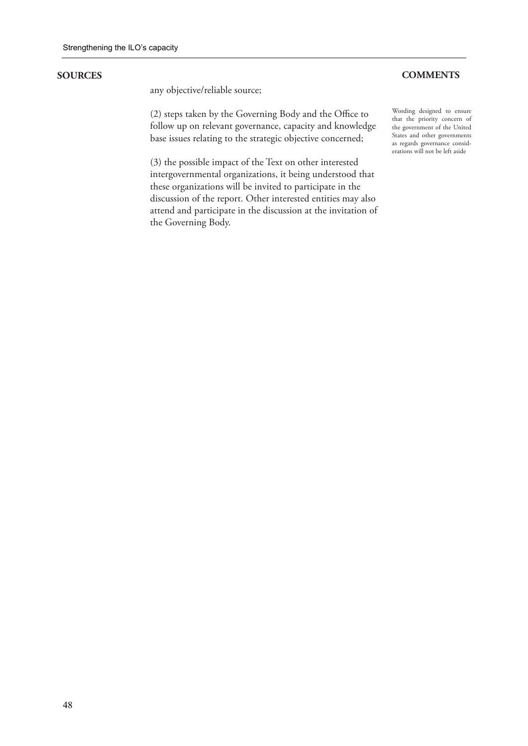#### **SOURCES COMMENTS**

any objective/reliable source;

(2) steps taken by the Governing Body and the Office to follow up on relevant governance, capacity and knowledge base issues relating to the strategic objective concerned;

(3) the possible impact of the Text on other interested intergovernmental organizations, it being understood that these organizations will be invited to participate in the discussion of the report. Other interested entities may also attend and participate in the discussion at the invitation of the Governing Body.

Wording designed to ensure that the priority concern of the government of the United States and other governments as regards governance considerations will not be left aside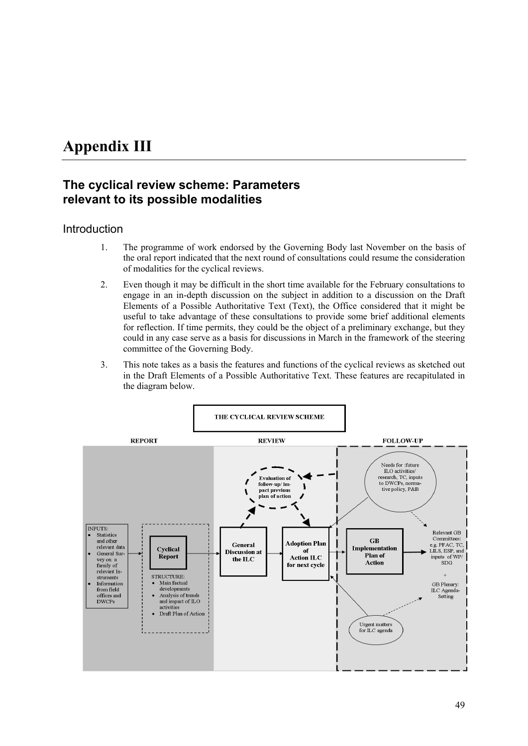# **Appendix III**

## **The cyclical review scheme: Parameters relevant to its possible modalities**

### Introduction

- 1. The programme of work endorsed by the Governing Body last November on the basis of the oral report indicated that the next round of consultations could resume the consideration of modalities for the cyclical reviews.
- 2. Even though it may be difficult in the short time available for the February consultations to engage in an in-depth discussion on the subject in addition to a discussion on the Draft Elements of a Possible Authoritative Text (Text), the Office considered that it might be useful to take advantage of these consultations to provide some brief additional elements for reflection. If time permits, they could be the object of a preliminary exchange, but they could in any case serve as a basis for discussions in March in the framework of the steering committee of the Governing Body.
- 3. This note takes as a basis the features and functions of the cyclical reviews as sketched out in the Draft Elements of a Possible Authoritative Text. These features are recapitulated in the diagram below.

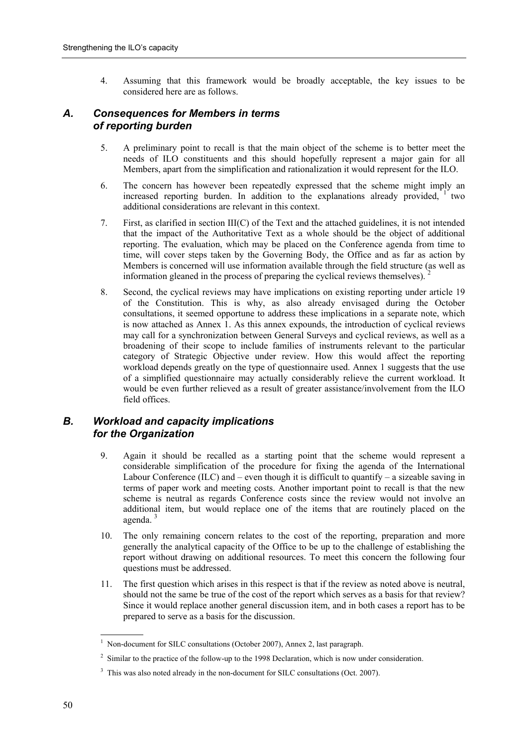4. Assuming that this framework would be broadly acceptable, the key issues to be considered here are as follows.

### *A. Consequences for Members in terms of reporting burden*

- 5. A preliminary point to recall is that the main object of the scheme is to better meet the needs of ILO constituents and this should hopefully represent a major gain for all Members, apart from the simplification and rationalization it would represent for the ILO.
- 6. The concern has however been repeatedly expressed that the scheme might imply an increased reporting burden. In addition to the explanations already provided,  $\frac{1}{1}$  two additional considerations are relevant in this context.
- 7. First, as clarified in section III(C) of the Text and the attached guidelines, it is not intended that the impact of the Authoritative Text as a whole should be the object of additional reporting. The evaluation, which may be placed on the Conference agenda from time to time, will cover steps taken by the Governing Body, the Office and as far as action by Members is concerned will use information available through the field structure (as well as information gleaned in the process of preparing the cyclical reviews themselves).  $\hat{i}$
- 8. Second, the cyclical reviews may have implications on existing reporting under article 19 of the Constitution. This is why, as also already envisaged during the October consultations, it seemed opportune to address these implications in a separate note, which is now attached as Annex 1. As this annex expounds, the introduction of cyclical reviews may call for a synchronization between General Surveys and cyclical reviews, as well as a broadening of their scope to include families of instruments relevant to the particular category of Strategic Objective under review. How this would affect the reporting workload depends greatly on the type of questionnaire used. Annex 1 suggests that the use of a simplified questionnaire may actually considerably relieve the current workload. It would be even further relieved as a result of greater assistance/involvement from the ILO field offices.

### *B. Workload and capacity implications for the Organization*

- 9. Again it should be recalled as a starting point that the scheme would represent a considerable simplification of the procedure for fixing the agenda of the International Labour Conference (ILC) and – even though it is difficult to quantify – a sizeable saving in terms of paper work and meeting costs. Another important point to recall is that the new scheme is neutral as regards Conference costs since the review would not involve an additional item, but would replace one of the items that are routinely placed on the agenda $3$
- 10. The only remaining concern relates to the cost of the reporting, preparation and more generally the analytical capacity of the Office to be up to the challenge of establishing the report without drawing on additional resources. To meet this concern the following four questions must be addressed.
- 11. The first question which arises in this respect is that if the review as noted above is neutral, should not the same be true of the cost of the report which serves as a basis for that review? Since it would replace another general discussion item, and in both cases a report has to be prepared to serve as a basis for the discussion.

 $\overline{a}$ 1 Non-document for SILC consultations (October 2007), Annex 2, last paragraph.

 $2 \sin(\theta)$  Similar to the practice of the follow-up to the 1998 Declaration, which is now under consideration.

 $3$  This was also noted already in the non-document for SILC consultations (Oct. 2007).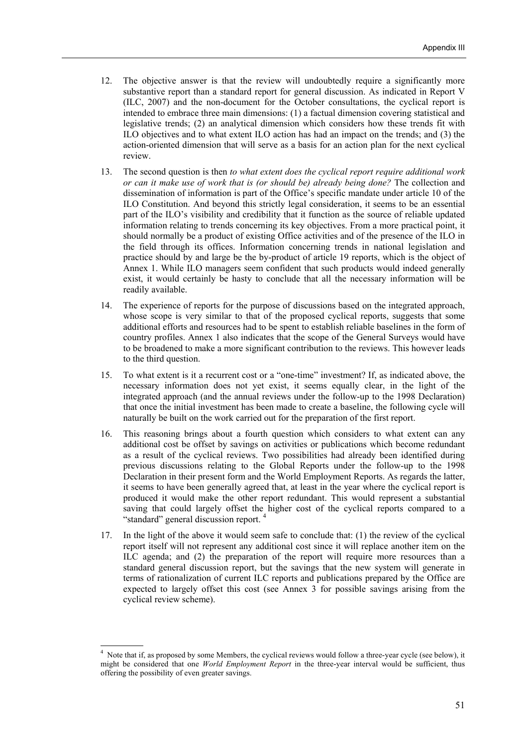- 12. The objective answer is that the review will undoubtedly require a significantly more substantive report than a standard report for general discussion. As indicated in Report V (ILC, 2007) and the non-document for the October consultations, the cyclical report is intended to embrace three main dimensions: (1) a factual dimension covering statistical and legislative trends; (2) an analytical dimension which considers how these trends fit with ILO objectives and to what extent ILO action has had an impact on the trends; and (3) the action-oriented dimension that will serve as a basis for an action plan for the next cyclical review.
- 13. The second question is then *to what extent does the cyclical report require additional work or can it make use of work that is (or should be) already being done?* The collection and dissemination of information is part of the Office's specific mandate under article 10 of the ILO Constitution. And beyond this strictly legal consideration, it seems to be an essential part of the ILO's visibility and credibility that it function as the source of reliable updated information relating to trends concerning its key objectives. From a more practical point, it should normally be a product of existing Office activities and of the presence of the ILO in the field through its offices. Information concerning trends in national legislation and practice should by and large be the by-product of article 19 reports, which is the object of Annex 1. While ILO managers seem confident that such products would indeed generally exist, it would certainly be hasty to conclude that all the necessary information will be readily available.
- 14. The experience of reports for the purpose of discussions based on the integrated approach, whose scope is very similar to that of the proposed cyclical reports, suggests that some additional efforts and resources had to be spent to establish reliable baselines in the form of country profiles. Annex 1 also indicates that the scope of the General Surveys would have to be broadened to make a more significant contribution to the reviews. This however leads to the third question.
- 15. To what extent is it a recurrent cost or a "one-time" investment? If, as indicated above, the necessary information does not yet exist, it seems equally clear, in the light of the integrated approach (and the annual reviews under the follow-up to the 1998 Declaration) that once the initial investment has been made to create a baseline, the following cycle will naturally be built on the work carried out for the preparation of the first report.
- 16. This reasoning brings about a fourth question which considers to what extent can any additional cost be offset by savings on activities or publications which become redundant as a result of the cyclical reviews. Two possibilities had already been identified during previous discussions relating to the Global Reports under the follow-up to the 1998 Declaration in their present form and the World Employment Reports. As regards the latter, it seems to have been generally agreed that, at least in the year where the cyclical report is produced it would make the other report redundant. This would represent a substantial saving that could largely offset the higher cost of the cyclical reports compared to a "standard" general discussion report. 4
- 17. In the light of the above it would seem safe to conclude that: (1) the review of the cyclical report itself will not represent any additional cost since it will replace another item on the ILC agenda; and (2) the preparation of the report will require more resources than a standard general discussion report, but the savings that the new system will generate in terms of rationalization of current ILC reports and publications prepared by the Office are expected to largely offset this cost (see Annex 3 for possible savings arising from the cyclical review scheme).

 $\overline{a}$ 

<sup>4</sup> Note that if, as proposed by some Members, the cyclical reviews would follow a three-year cycle (see below), it might be considered that one *World Employment Report* in the three-year interval would be sufficient, thus offering the possibility of even greater savings.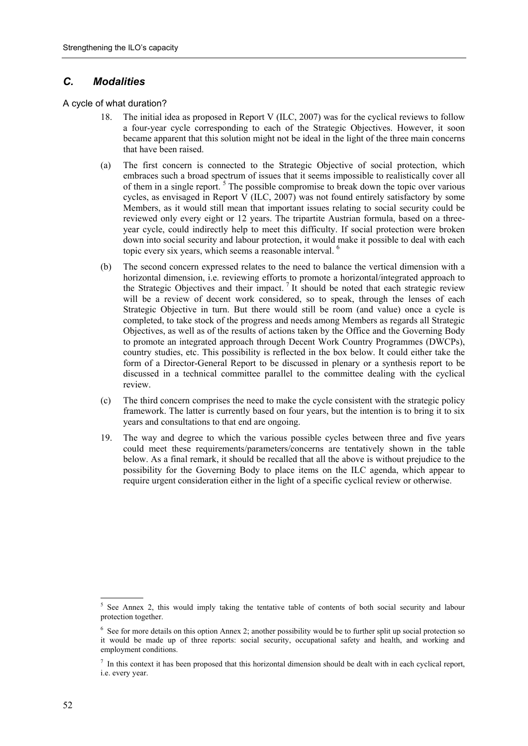### *C. Modalities*

A cycle of what duration?

- 18. The initial idea as proposed in Report V (ILC, 2007) was for the cyclical reviews to follow a four-year cycle corresponding to each of the Strategic Objectives. However, it soon became apparent that this solution might not be ideal in the light of the three main concerns that have been raised.
- (a) The first concern is connected to the Strategic Objective of social protection, which embraces such a broad spectrum of issues that it seems impossible to realistically cover all of them in a single report.<sup>5</sup> The possible compromise to break down the topic over various cycles, as envisaged in Report V (ILC, 2007) was not found entirely satisfactory by some Members, as it would still mean that important issues relating to social security could be reviewed only every eight or 12 years. The tripartite Austrian formula, based on a threeyear cycle, could indirectly help to meet this difficulty. If social protection were broken down into social security and labour protection, it would make it possible to deal with each topic every six years, which seems a reasonable interval. <sup>6</sup>
- (b) The second concern expressed relates to the need to balance the vertical dimension with a horizontal dimension, i.e. reviewing efforts to promote a horizontal/integrated approach to the Strategic Objectives and their impact.<sup>7</sup> It should be noted that each strategic review will be a review of decent work considered, so to speak, through the lenses of each Strategic Objective in turn. But there would still be room (and value) once a cycle is completed, to take stock of the progress and needs among Members as regards all Strategic Objectives, as well as of the results of actions taken by the Office and the Governing Body to promote an integrated approach through Decent Work Country Programmes (DWCPs), country studies, etc. This possibility is reflected in the box below. It could either take the form of a Director-General Report to be discussed in plenary or a synthesis report to be discussed in a technical committee parallel to the committee dealing with the cyclical review.
- (c) The third concern comprises the need to make the cycle consistent with the strategic policy framework. The latter is currently based on four years, but the intention is to bring it to six years and consultations to that end are ongoing.
- 19. The way and degree to which the various possible cycles between three and five years could meet these requirements/parameters/concerns are tentatively shown in the table below. As a final remark, it should be recalled that all the above is without prejudice to the possibility for the Governing Body to place items on the ILC agenda, which appear to require urgent consideration either in the light of a specific cyclical review or otherwise.

<sup>5</sup> See Annex 2, this would imply taking the tentative table of contents of both social security and labour protection together.

<sup>&</sup>lt;sup>6</sup> See for more details on this option Annex 2; another possibility would be to further split up social protection so it would be made up of three reports: social security, occupational safety and health, and working and employment conditions.

 $<sup>7</sup>$  In this context it has been proposed that this horizontal dimension should be dealt with in each cyclical report,</sup> i.e. every year.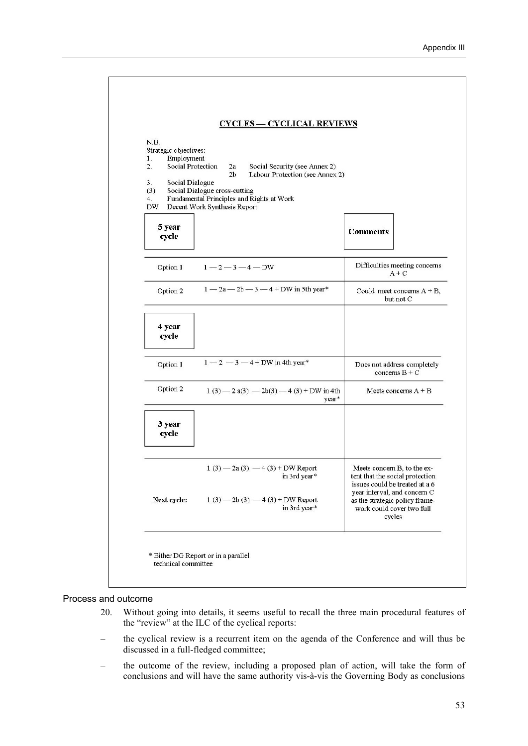| N.B.<br>Strategic objectives:<br>Employment<br>1.<br>$\overline{2}$ .<br><b>Social Protection</b><br>Social Dialogue<br>3.<br>(3) | Social Security (see Annex 2)<br>2a<br>2 <sub>b</sub><br>Labour Protection (see Annex 2)<br>Social Dialogue cross-cutting |                                                                                                       |                        |
|-----------------------------------------------------------------------------------------------------------------------------------|---------------------------------------------------------------------------------------------------------------------------|-------------------------------------------------------------------------------------------------------|------------------------|
| 4.<br><b>DW</b>                                                                                                                   | Fundamental Principles and Rights at Work<br>Decent Work Synthesis Report                                                 |                                                                                                       |                        |
| 5 year<br>cycle                                                                                                                   |                                                                                                                           | <b>Comments</b>                                                                                       |                        |
| Option 1                                                                                                                          | $1 - 2 - 3 - 4 - DW$                                                                                                      | Difficulties meeting concerns                                                                         | $A + C$                |
| Option 2                                                                                                                          | $1 - 2a - 2b - 3 - 4 + DW$ in 5th year*                                                                                   | Could meet concerns $A + B$ ,                                                                         | but not C              |
| 4 year<br>cycle                                                                                                                   |                                                                                                                           |                                                                                                       |                        |
| Option 1                                                                                                                          | $1 - 2 - 3 - 4 + DW$ in 4th year*                                                                                         | Does not address completely                                                                           | concerns $B + C$       |
| Option 2                                                                                                                          | $1(3) - 2a(3) - 2b(3) - 4(3) + DW$ in 4th<br>year*                                                                        |                                                                                                       | Meets concerns $A + B$ |
| 3 year<br>cycle                                                                                                                   |                                                                                                                           |                                                                                                       |                        |
|                                                                                                                                   | $1(3) - 2a(3) - 4(3) + DW$ Report<br>in 3rd year *                                                                        | Meets concern B, to the ex-<br>tent that the social protection<br>issues could be treated at a 6      |                        |
| Next cycle:                                                                                                                       | $1(3) - 2b(3) - 4(3) + DW$ Report<br>in 3rd year*                                                                         | year interval, and concern C<br>as the strategic policy frame-<br>work could cover two full<br>cycles |                        |

#### Process and outcome

- 20. Without going into details, it seems useful to recall the three main procedural features of the "review" at the ILC of the cyclical reports:
- the cyclical review is a recurrent item on the agenda of the Conference and will thus be discussed in a full-fledged committee;
- the outcome of the review, including a proposed plan of action, will take the form of conclusions and will have the same authority vis-à-vis the Governing Body as conclusions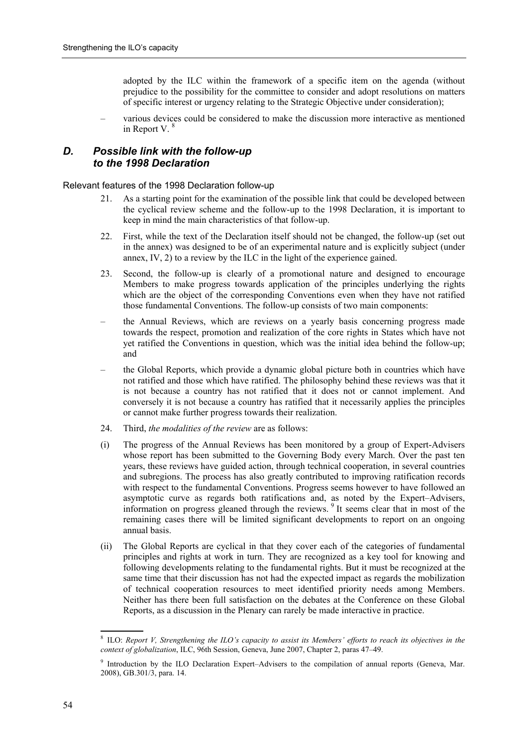adopted by the ILC within the framework of a specific item on the agenda (without prejudice to the possibility for the committee to consider and adopt resolutions on matters of specific interest or urgency relating to the Strategic Objective under consideration);

– various devices could be considered to make the discussion more interactive as mentioned in Report V.<sup>8</sup>

### *D. Possible link with the follow-up to the 1998 Declaration*

Relevant features of the 1998 Declaration follow-up

- 21. As a starting point for the examination of the possible link that could be developed between the cyclical review scheme and the follow-up to the 1998 Declaration, it is important to keep in mind the main characteristics of that follow-up.
- 22. First, while the text of the Declaration itself should not be changed, the follow-up (set out in the annex) was designed to be of an experimental nature and is explicitly subject (under annex, IV, 2) to a review by the ILC in the light of the experience gained.
- 23. Second, the follow-up is clearly of a promotional nature and designed to encourage Members to make progress towards application of the principles underlying the rights which are the object of the corresponding Conventions even when they have not ratified those fundamental Conventions. The follow-up consists of two main components:
- the Annual Reviews, which are reviews on a yearly basis concerning progress made towards the respect, promotion and realization of the core rights in States which have not yet ratified the Conventions in question, which was the initial idea behind the follow-up; and
- the Global Reports, which provide a dynamic global picture both in countries which have not ratified and those which have ratified. The philosophy behind these reviews was that it is not because a country has not ratified that it does not or cannot implement. And conversely it is not because a country has ratified that it necessarily applies the principles or cannot make further progress towards their realization.
- 24. Third, *the modalities of the review* are as follows:
- (i) The progress of the Annual Reviews has been monitored by a group of Expert-Advisers whose report has been submitted to the Governing Body every March. Over the past ten years, these reviews have guided action, through technical cooperation, in several countries and subregions. The process has also greatly contributed to improving ratification records with respect to the fundamental Conventions. Progress seems however to have followed an asymptotic curve as regards both ratifications and, as noted by the Expert–Advisers, information on progress gleaned through the reviews. 9 It seems clear that in most of the remaining cases there will be limited significant developments to report on an ongoing annual basis.
- (ii) The Global Reports are cyclical in that they cover each of the categories of fundamental principles and rights at work in turn. They are recognized as a key tool for knowing and following developments relating to the fundamental rights. But it must be recognized at the same time that their discussion has not had the expected impact as regards the mobilization of technical cooperation resources to meet identified priority needs among Members. Neither has there been full satisfaction on the debates at the Conference on these Global Reports, as a discussion in the Plenary can rarely be made interactive in practice.

<sup>8</sup> ILO: *Report V, Strengthening the ILO's capacity to assist its Members' efforts to reach its objectives in the context of globalization*, ILC, 96th Session, Geneva, June 2007, Chapter 2, paras 47–49.

<sup>9</sup> Introduction by the ILO Declaration Expert–Advisers to the compilation of annual reports (Geneva, Mar. 2008), GB.301/3, para. 14.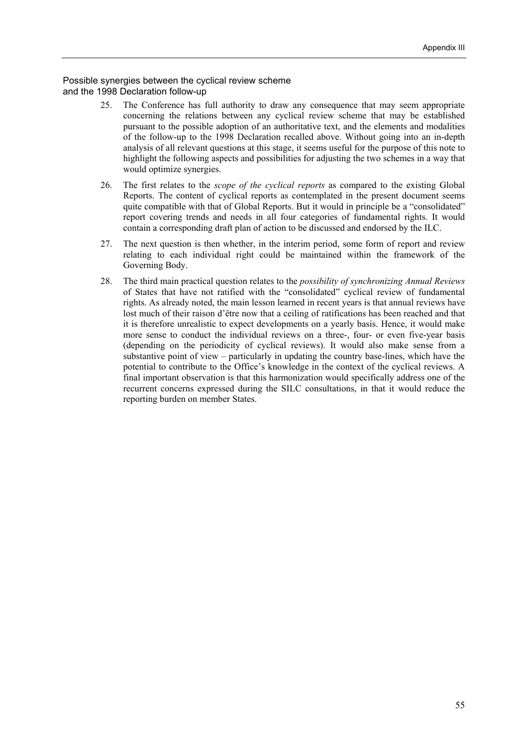#### Possible synergies between the cyclical review scheme and the 1998 Declaration follow-up

- 25. The Conference has full authority to draw any consequence that may seem appropriate concerning the relations between any cyclical review scheme that may be established pursuant to the possible adoption of an authoritative text, and the elements and modalities of the follow-up to the 1998 Declaration recalled above. Without going into an in-depth analysis of all relevant questions at this stage, it seems useful for the purpose of this note to highlight the following aspects and possibilities for adjusting the two schemes in a way that would optimize synergies.
- 26. The first relates to the *scope of the cyclical reports* as compared to the existing Global Reports. The content of cyclical reports as contemplated in the present document seems quite compatible with that of Global Reports. But it would in principle be a "consolidated" report covering trends and needs in all four categories of fundamental rights. It would contain a corresponding draft plan of action to be discussed and endorsed by the ILC.
- 27. The next question is then whether, in the interim period, some form of report and review relating to each individual right could be maintained within the framework of the Governing Body.
- 28. The third main practical question relates to the *possibility of synchronizing Annual Reviews* of States that have not ratified with the "consolidated" cyclical review of fundamental rights. As already noted, the main lesson learned in recent years is that annual reviews have lost much of their raison d'être now that a ceiling of ratifications has been reached and that it is therefore unrealistic to expect developments on a yearly basis. Hence, it would make more sense to conduct the individual reviews on a three-, four- or even five-year basis (depending on the periodicity of cyclical reviews). It would also make sense from a substantive point of view – particularly in updating the country base-lines, which have the potential to contribute to the Office's knowledge in the context of the cyclical reviews. A final important observation is that this harmonization would specifically address one of the recurrent concerns expressed during the SILC consultations, in that it would reduce the reporting burden on member States.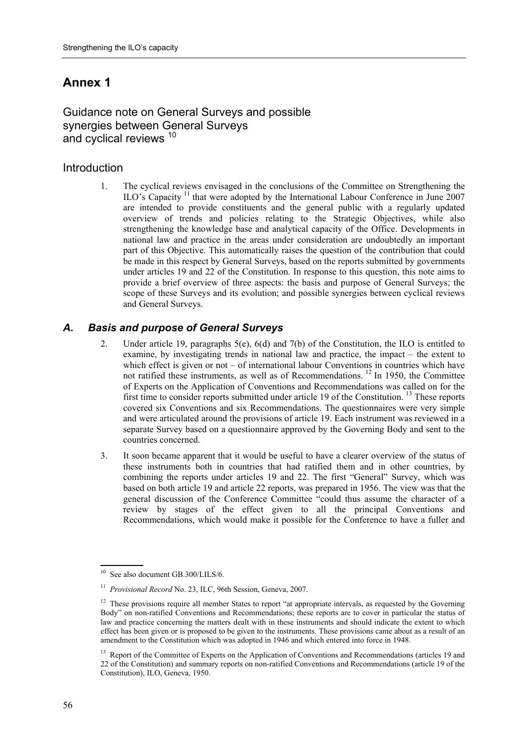## **Annex 1**

Guidance note on General Surveys and possible synergies between General Surveys and cyclical reviews<sup>10</sup>

## Introduction

1. The cyclical reviews envisaged in the conclusions of the Committee on Strengthening the ILO's Capacity 11 that were adopted by the International Labour Conference in June 2007 are intended to provide constituents and the general public with a regularly updated overview of trends and policies relating to the Strategic Objectives, while also strengthening the knowledge base and analytical capacity of the Office. Developments in national law and practice in the areas under consideration are undoubtedly an important part of this Objective. This automatically raises the question of the contribution that could be made in this respect by General Surveys, based on the reports submitted by governments under articles 19 and 22 of the Constitution. In response to this question, this note aims to provide a brief overview of three aspects: the basis and purpose of General Surveys; the scope of these Surveys and its evolution; and possible synergies between cyclical reviews and General Surveys.

## *A. Basis and purpose of General Surveys*

- 2. Under article 19, paragraphs 5(e), 6(d) and 7(b) of the Constitution, the ILO is entitled to examine, by investigating trends in national law and practice, the impact – the extent to which effect is given or not – of international labour Conventions in countries which have not ratified these instruments, as well as of Recommendations.<sup>12</sup> In 1950, the Committee of Experts on the Application of Conventions and Recommendations was called on for the first time to consider reports submitted under article 19 of the Constitution.<sup>13</sup> These reports covered six Conventions and six Recommendations. The questionnaires were very simple and were articulated around the provisions of article 19. Each instrument was reviewed in a separate Survey based on a questionnaire approved by the Governing Body and sent to the countries concerned.
- 3. It soon became apparent that it would be useful to have a clearer overview of the status of these instruments both in countries that had ratified them and in other countries, by combining the reports under articles 19 and 22. The first "General" Survey, which was based on both article 19 and article 22 reports, was prepared in 1956. The view was that the general discussion of the Conference Committee "could thus assume the character of a review by stages of the effect given to all the principal Conventions and Recommendations, which would make it possible for the Conference to have a fuller and

 <sup>10</sup> See also document GB.300/LILS/6.

<sup>11</sup> *Provisional Record* No. 23, ILC, 96th Session, Geneva, 2007.

<sup>&</sup>lt;sup>12</sup> These provisions require all member States to report "at appropriate intervals, as requested by the Governing Body" on non-ratified Conventions and Recommendations; these reports are to cover in particular the status of law and practice concerning the matters dealt with in these instruments and should indicate the extent to which effect has been given or is proposed to be given to the instruments. These provisions came about as a result of an amendment to the Constitution which was adopted in 1946 and which entered into force in 1948.

<sup>&</sup>lt;sup>13</sup> Report of the Committee of Experts on the Application of Conventions and Recommendations (articles 19 and 22 of the Constitution) and summary reports on non-ratified Conventions and Recommendations (article 19 of the Constitution), ILO, Geneva, 1950.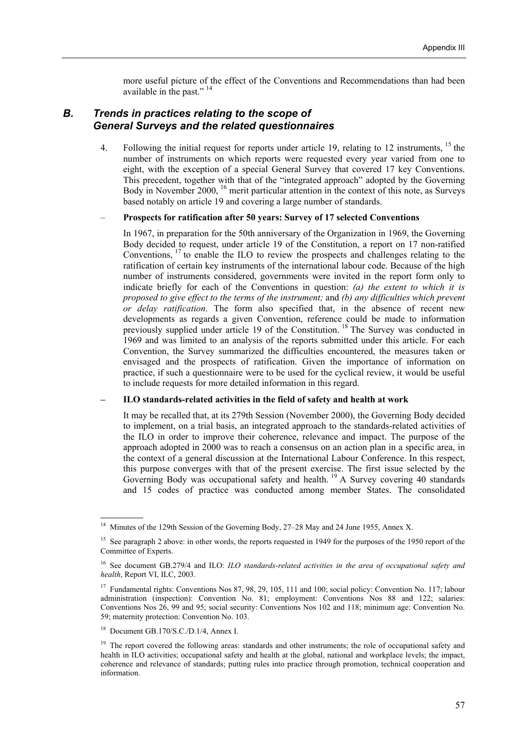more useful picture of the effect of the Conventions and Recommendations than had been available in the past."<sup>14</sup>

### *B. Trends in practices relating to the scope of General Surveys and the related questionnaires*

4. Following the initial request for reports under article 19, relating to 12 instruments, <sup>15</sup> the number of instruments on which reports were requested every year varied from one to eight, with the exception of a special General Survey that covered 17 key Conventions. This precedent, together with that of the "integrated approach" adopted by the Governing Body in November 2000, <sup>16</sup> merit particular attention in the context of this note, as Surveys based notably on article 19 and covering a large number of standards.

#### – **Prospects for ratification after 50 years: Survey of 17 selected Conventions**

 In 1967, in preparation for the 50th anniversary of the Organization in 1969, the Governing Body decided to request, under article 19 of the Constitution, a report on 17 non-ratified Conventions, 17 to enable the ILO to review the prospects and challenges relating to the ratification of certain key instruments of the international labour code. Because of the high number of instruments considered, governments were invited in the report form only to indicate briefly for each of the Conventions in question: *(a) the extent to which it is proposed to give effect to the terms of the instrument;* and *(b) any difficulties which prevent or delay ratification*. The form also specified that, in the absence of recent new developments as regards a given Convention, reference could be made to information previously supplied under article 19 of the Constitution.<sup>18</sup> The Survey was conducted in 1969 and was limited to an analysis of the reports submitted under this article. For each Convention, the Survey summarized the difficulties encountered, the measures taken or envisaged and the prospects of ratification. Given the importance of information on practice, if such a questionnaire were to be used for the cyclical review, it would be useful to include requests for more detailed information in this regard.

#### **– ILO standards-related activities in the field of safety and health at work**

 It may be recalled that, at its 279th Session (November 2000), the Governing Body decided to implement, on a trial basis, an integrated approach to the standards-related activities of the ILO in order to improve their coherence, relevance and impact. The purpose of the approach adopted in 2000 was to reach a consensus on an action plan in a specific area, in the context of a general discussion at the International Labour Conference. In this respect, this purpose converges with that of the present exercise. The first issue selected by the Governing Body was occupational safety and health.<sup>19</sup> A Survey covering 40 standards and 15 codes of practice was conducted among member States. The consolidated

<sup>&</sup>lt;sup>14</sup> Minutes of the 129th Session of the Governing Body, 27–28 May and 24 June 1955, Annex X.

<sup>&</sup>lt;sup>15</sup> See paragraph 2 above: in other words, the reports requested in 1949 for the purposes of the 1950 report of the Committee of Experts.

<sup>16</sup> See document GB.279/4 and ILO: *ILO standards-related activities in the area of occupational safety and health*, Report VI, ILC, 2003.

<sup>&</sup>lt;sup>17</sup> Fundamental rights: Conventions Nos 87, 98, 29, 105, 111 and 100; social policy: Convention No. 117; labour administration (inspection): Convention No. 81; employment: Conventions Nos 88 and 122; salaries: Conventions Nos 26, 99 and 95; social security: Conventions Nos 102 and 118; minimum age: Convention No. 59; maternity protection: Convention No. 103.

<sup>18</sup> Document GB.170/S.C./D.1/4, Annex I.

<sup>&</sup>lt;sup>19</sup> The report covered the following areas: standards and other instruments; the role of occupational safety and health in ILO activities; occupational safety and health at the global, national and workplace levels; the impact, coherence and relevance of standards; putting rules into practice through promotion, technical cooperation and information.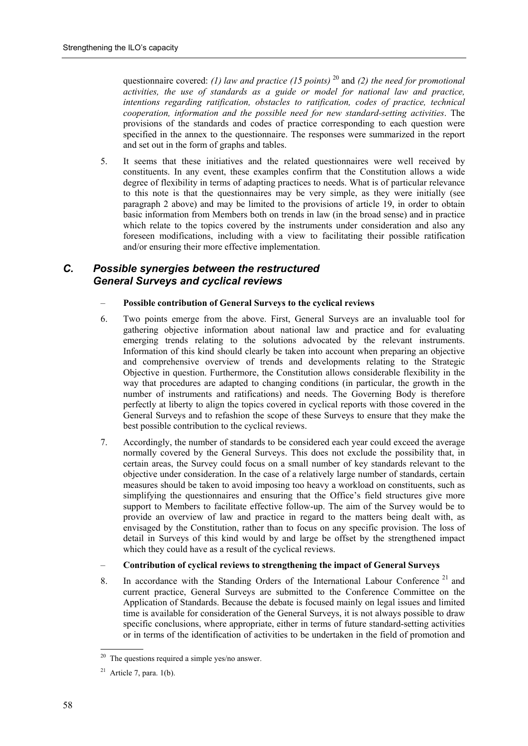questionnaire covered: *(1) law and practice (15 points)* <sup>20</sup> and *(2) the need for promotional activities, the use of standards as a guide or model for national law and practice, intentions regarding ratification, obstacles to ratification, codes of practice, technical cooperation, information and the possible need for new standard-setting activities*. The provisions of the standards and codes of practice corresponding to each question were specified in the annex to the questionnaire. The responses were summarized in the report and set out in the form of graphs and tables.

5. It seems that these initiatives and the related questionnaires were well received by constituents. In any event, these examples confirm that the Constitution allows a wide degree of flexibility in terms of adapting practices to needs. What is of particular relevance to this note is that the questionnaires may be very simple, as they were initially (see paragraph 2 above) and may be limited to the provisions of article 19, in order to obtain basic information from Members both on trends in law (in the broad sense) and in practice which relate to the topics covered by the instruments under consideration and also any foreseen modifications, including with a view to facilitating their possible ratification and/or ensuring their more effective implementation.

### *C. Possible synergies between the restructured General Surveys and cyclical reviews*

#### – **Possible contribution of General Surveys to the cyclical reviews**

- 6. Two points emerge from the above. First, General Surveys are an invaluable tool for gathering objective information about national law and practice and for evaluating emerging trends relating to the solutions advocated by the relevant instruments. Information of this kind should clearly be taken into account when preparing an objective and comprehensive overview of trends and developments relating to the Strategic Objective in question. Furthermore, the Constitution allows considerable flexibility in the way that procedures are adapted to changing conditions (in particular, the growth in the number of instruments and ratifications) and needs. The Governing Body is therefore perfectly at liberty to align the topics covered in cyclical reports with those covered in the General Surveys and to refashion the scope of these Surveys to ensure that they make the best possible contribution to the cyclical reviews.
- 7. Accordingly, the number of standards to be considered each year could exceed the average normally covered by the General Surveys. This does not exclude the possibility that, in certain areas, the Survey could focus on a small number of key standards relevant to the objective under consideration. In the case of a relatively large number of standards, certain measures should be taken to avoid imposing too heavy a workload on constituents, such as simplifying the questionnaires and ensuring that the Office's field structures give more support to Members to facilitate effective follow-up. The aim of the Survey would be to provide an overview of law and practice in regard to the matters being dealt with, as envisaged by the Constitution, rather than to focus on any specific provision. The loss of detail in Surveys of this kind would by and large be offset by the strengthened impact which they could have as a result of the cyclical reviews.

#### – **Contribution of cyclical reviews to strengthening the impact of General Surveys**

8. In accordance with the Standing Orders of the International Labour Conference  $21$  and current practice, General Surveys are submitted to the Conference Committee on the Application of Standards. Because the debate is focused mainly on legal issues and limited time is available for consideration of the General Surveys, it is not always possible to draw specific conclusions, where appropriate, either in terms of future standard-setting activities or in terms of the identification of activities to be undertaken in the field of promotion and

 $20$  The questions required a simple yes/no answer.

 $21$  Article 7, para. 1(b).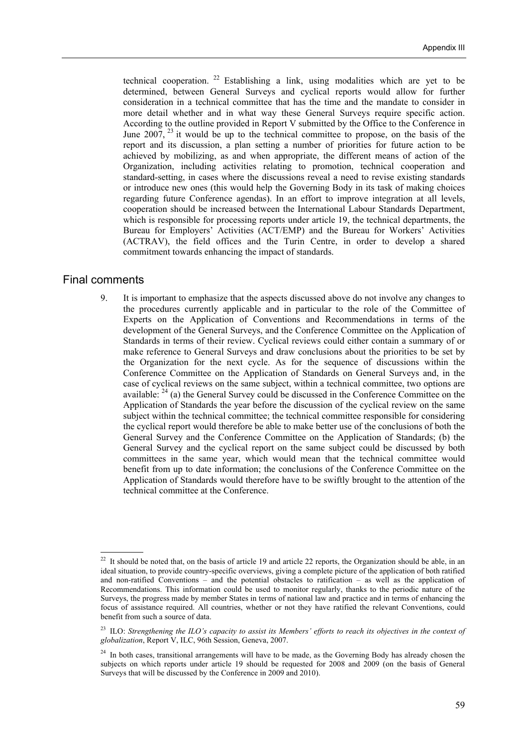technical cooperation. <sup>22</sup> Establishing a link, using modalities which are yet to be determined, between General Surveys and cyclical reports would allow for further consideration in a technical committee that has the time and the mandate to consider in more detail whether and in what way these General Surveys require specific action. According to the outline provided in Report V submitted by the Office to the Conference in June  $2007$ ,  $^{23}$  it would be up to the technical committee to propose, on the basis of the report and its discussion, a plan setting a number of priorities for future action to be achieved by mobilizing, as and when appropriate, the different means of action of the Organization, including activities relating to promotion, technical cooperation and standard-setting, in cases where the discussions reveal a need to revise existing standards or introduce new ones (this would help the Governing Body in its task of making choices regarding future Conference agendas). In an effort to improve integration at all levels, cooperation should be increased between the International Labour Standards Department, which is responsible for processing reports under article 19, the technical departments, the Bureau for Employers' Activities (ACT/EMP) and the Bureau for Workers' Activities (ACTRAV), the field offices and the Turin Centre, in order to develop a shared commitment towards enhancing the impact of standards.

#### Final comments

9. It is important to emphasize that the aspects discussed above do not involve any changes to the procedures currently applicable and in particular to the role of the Committee of Experts on the Application of Conventions and Recommendations in terms of the development of the General Surveys, and the Conference Committee on the Application of Standards in terms of their review. Cyclical reviews could either contain a summary of or make reference to General Surveys and draw conclusions about the priorities to be set by the Organization for the next cycle. As for the sequence of discussions within the Conference Committee on the Application of Standards on General Surveys and, in the case of cyclical reviews on the same subject, within a technical committee, two options are available: 24 (a) the General Survey could be discussed in the Conference Committee on the Application of Standards the year before the discussion of the cyclical review on the same subject within the technical committee; the technical committee responsible for considering the cyclical report would therefore be able to make better use of the conclusions of both the General Survey and the Conference Committee on the Application of Standards; (b) the General Survey and the cyclical report on the same subject could be discussed by both committees in the same year, which would mean that the technical committee would benefit from up to date information; the conclusions of the Conference Committee on the Application of Standards would therefore have to be swiftly brought to the attention of the technical committee at the Conference.

<sup>&</sup>lt;sup>22</sup> It should be noted that, on the basis of article 19 and article 22 reports, the Organization should be able, in an ideal situation, to provide country-specific overviews, giving a complete picture of the application of both ratified and non-ratified Conventions – and the potential obstacles to ratification – as well as the application of Recommendations. This information could be used to monitor regularly, thanks to the periodic nature of the Surveys, the progress made by member States in terms of national law and practice and in terms of enhancing the focus of assistance required. All countries, whether or not they have ratified the relevant Conventions, could benefit from such a source of data.

<sup>23</sup> ILO: *Strengthening the ILO's capacity to assist its Members' efforts to reach its objectives in the context of globalization*, Report V, ILC, 96th Session, Geneva, 2007.

<sup>&</sup>lt;sup>24</sup> In both cases, transitional arrangements will have to be made, as the Governing Body has already chosen the subjects on which reports under article 19 should be requested for 2008 and 2009 (on the basis of General Surveys that will be discussed by the Conference in 2009 and 2010).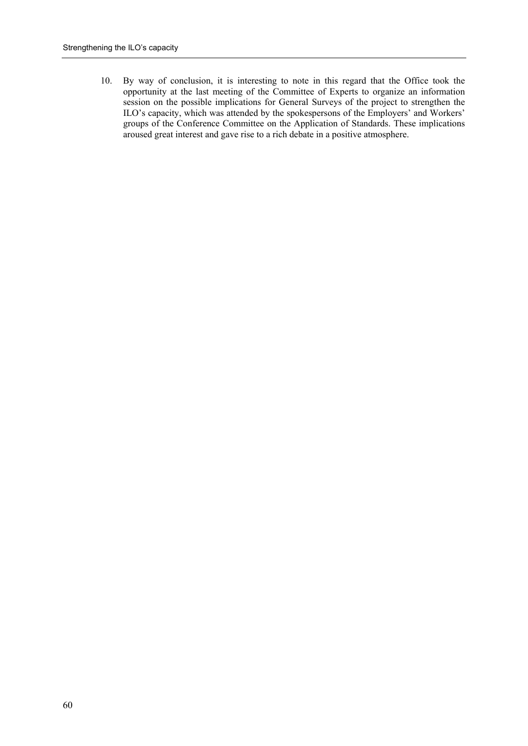10. By way of conclusion, it is interesting to note in this regard that the Office took the opportunity at the last meeting of the Committee of Experts to organize an information session on the possible implications for General Surveys of the project to strengthen the ILO's capacity, which was attended by the spokespersons of the Employers' and Workers' groups of the Conference Committee on the Application of Standards. These implications aroused great interest and gave rise to a rich debate in a positive atmosphere.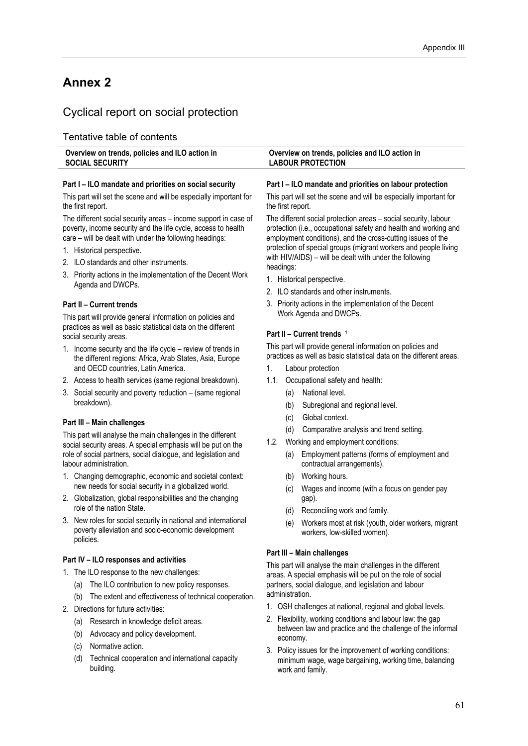## **Annex 2**

## Cyclical report on social protection

#### Tentative table of contents

| Overview on trends, policies and ILO action in | Overview on trends, policies and ILO action in |
|------------------------------------------------|------------------------------------------------|
| <b>SOCIAL SECURITY</b>                         | <b>LABOUR PROTECTION</b>                       |

#### **Part I – ILO mandate and priorities on social security**

This part will set the scene and will be especially important for the first report.

The different social security areas – income support in case of poverty, income security and the life cycle, access to health care – will be dealt with under the following headings:

- 1. Historical perspective.
- 2. ILO standards and other instruments.
- 3. Priority actions in the implementation of the Decent Work Agenda and DWCPs.

#### **Part II – Current trends**

This part will provide general information on policies and practices as well as basic statistical data on the different social security areas.

- 1. Income security and the life cycle review of trends in the different regions: Africa, Arab States, Asia, Europe and OECD countries, Latin America.
- 2. Access to health services (same regional breakdown).
- 3. Social security and poverty reduction (same regional breakdown).

#### **Part III – Main challenges**

This part will analyse the main challenges in the different social security areas. A special emphasis will be put on the role of social partners, social dialogue, and legislation and labour administration.

- 1. Changing demographic, economic and societal context: new needs for social security in a globalized world.
- 2. Globalization, global responsibilities and the changing role of the nation State.
- 3. New roles for social security in national and international poverty alleviation and socio-economic development policies.

#### **Part IV – ILO responses and activities**

- 1. The ILO response to the new challenges:
	- (a) The ILO contribution to new policy responses.
	- (b) The extent and effectiveness of technical cooperation.
- 2. Directions for future activities:
	- (a) Research in knowledge deficit areas.
	- (b) Advocacy and policy development.
	- (c) Normative action.
	- (d) Technical cooperation and international capacity building.

#### **Part I – ILO mandate and priorities on labour protection**

This part will set the scene and will be especially important for the first report.

The different social protection areas – social security, labour protection (i.e., occupational safety and health and working and employment conditions), and the cross-cutting issues of the protection of special groups (migrant workers and people living with HIV/AIDS) – will be dealt with under the following headings:

- 1. Historical perspective.
- 2. ILO standards and other instruments.
- 3. Priority actions in the implementation of the Decent Work Agenda and DWCPs.

#### **Part II – Current trends** <sup>1</sup>

This part will provide general information on policies and practices as well as basic statistical data on the different areas.

- 1. Labour protection
- 1.1. Occupational safety and health:
	- (a) National level.
	- (b) Subregional and regional level.
	- (c) Global context.
	- (d) Comparative analysis and trend setting.
- 1.2. Working and employment conditions:
	- (a) Employment patterns (forms of employment and contractual arrangements).
	- (b) Working hours.
	- (c) Wages and income (with a focus on gender pay gap).
	- (d) Reconciling work and family.
	- (e) Workers most at risk (youth, older workers, migrant workers, low-skilled women).

#### **Part III – Main challenges**

This part will analyse the main challenges in the different areas. A special emphasis will be put on the role of social partners, social dialogue, and legislation and labour administration.

- 1. OSH challenges at national, regional and global levels.
- 2. Flexibility, working conditions and labour law: the gap between law and practice and the challenge of the informal economy.
- 3. Policy issues for the improvement of working conditions: minimum wage, wage bargaining, working time, balancing work and family.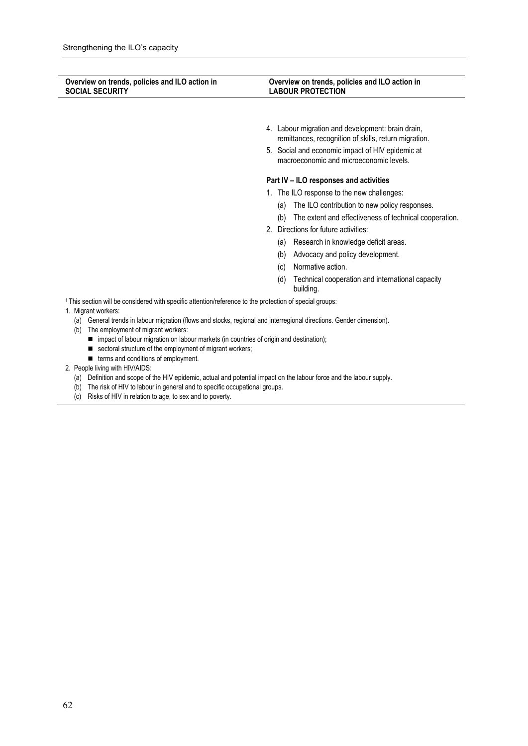| Overview on trends, policies and ILO action in | Overview on trends, policies and ILO action in |
|------------------------------------------------|------------------------------------------------|
| <b>SOCIAL SECURITY</b>                         | <b>LABOUR PROTECTION</b>                       |

- 4. Labour migration and development: brain drain, remittances, recognition of skills, return migration.
- 5. Social and economic impact of HIV epidemic at macroeconomic and microeconomic levels.

#### **Part IV – ILO responses and activities**

- 1. The ILO response to the new challenges:
	- (a) The ILO contribution to new policy responses.
	- (b) The extent and effectiveness of technical cooperation.
- 2. Directions for future activities:
	- (a) Research in knowledge deficit areas.
	- (b) Advocacy and policy development.
	- (c) Normative action.
	- (d) Technical cooperation and international capacity building.

<sup>1</sup> This section will be considered with specific attention/reference to the protection of special groups:

- 1. Migrant workers:
	- (a) General trends in labour migration (flows and stocks, regional and interregional directions. Gender dimension).
	- (b) The employment of migrant workers:
		- impact of labour migration on labour markets (in countries of origin and destination);
		- $\blacksquare$  sectoral structure of the employment of migrant workers;
		- terms and conditions of employment.
- 2. People living with HIV/AIDS:
	- (a) Definition and scope of the HIV epidemic, actual and potential impact on the labour force and the labour supply.
	- (b) The risk of HIV to labour in general and to specific occupational groups.
	- (c) Risks of HIV in relation to age, to sex and to poverty.